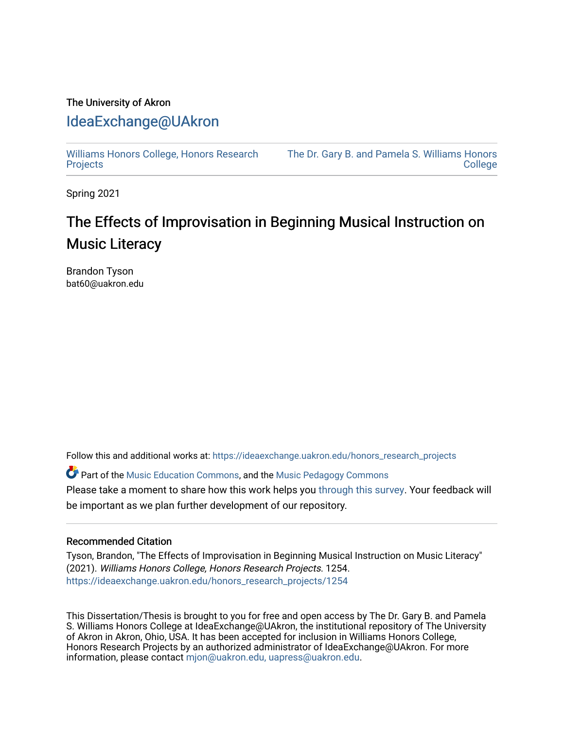## The University of Akron [IdeaExchange@UAkron](https://ideaexchange.uakron.edu/)

[Williams Honors College, Honors Research](https://ideaexchange.uakron.edu/honors_research_projects)  **[Projects](https://ideaexchange.uakron.edu/honors_research_projects)** 

[The Dr. Gary B. and Pamela S. Williams Honors](https://ideaexchange.uakron.edu/honorscollege_ideas)  **College** 

Spring 2021

## The Effects of Improvisation in Beginning Musical Instruction on Music Literacy

Brandon Tyson bat60@uakron.edu

Follow this and additional works at: [https://ideaexchange.uakron.edu/honors\\_research\\_projects](https://ideaexchange.uakron.edu/honors_research_projects?utm_source=ideaexchange.uakron.edu%2Fhonors_research_projects%2F1254&utm_medium=PDF&utm_campaign=PDFCoverPages) 

C<sup>+</sup> Part of the [Music Education Commons,](http://network.bepress.com/hgg/discipline/1246?utm_source=ideaexchange.uakron.edu%2Fhonors_research_projects%2F1254&utm_medium=PDF&utm_campaign=PDFCoverPages) and the [Music Pedagogy Commons](http://network.bepress.com/hgg/discipline/1129?utm_source=ideaexchange.uakron.edu%2Fhonors_research_projects%2F1254&utm_medium=PDF&utm_campaign=PDFCoverPages) Please take a moment to share how this work helps you [through this survey](http://survey.az1.qualtrics.com/SE/?SID=SV_eEVH54oiCbOw05f&URL=https://ideaexchange.uakron.edu/honors_research_projects/1254). Your feedback will be important as we plan further development of our repository.

## Recommended Citation

Tyson, Brandon, "The Effects of Improvisation in Beginning Musical Instruction on Music Literacy" (2021). Williams Honors College, Honors Research Projects. 1254. [https://ideaexchange.uakron.edu/honors\\_research\\_projects/1254](https://ideaexchange.uakron.edu/honors_research_projects/1254?utm_source=ideaexchange.uakron.edu%2Fhonors_research_projects%2F1254&utm_medium=PDF&utm_campaign=PDFCoverPages) 

This Dissertation/Thesis is brought to you for free and open access by The Dr. Gary B. and Pamela S. Williams Honors College at IdeaExchange@UAkron, the institutional repository of The University of Akron in Akron, Ohio, USA. It has been accepted for inclusion in Williams Honors College, Honors Research Projects by an authorized administrator of IdeaExchange@UAkron. For more information, please contact [mjon@uakron.edu, uapress@uakron.edu.](mailto:mjon@uakron.edu,%20uapress@uakron.edu)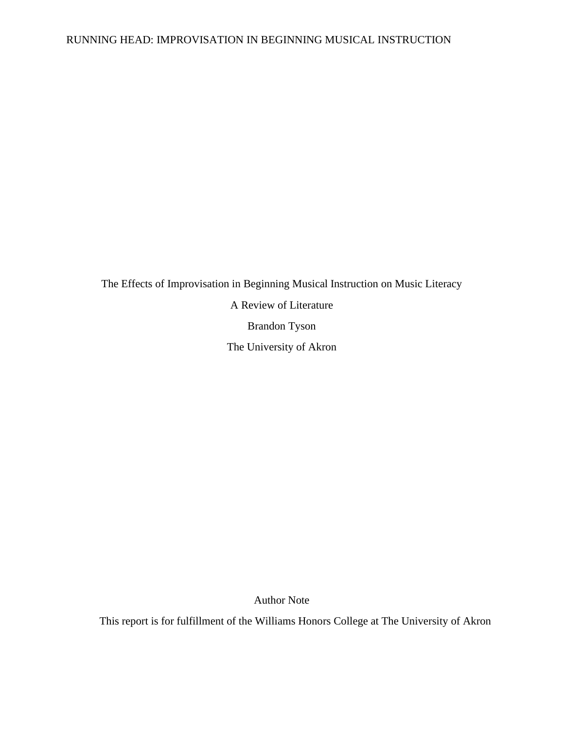The Effects of Improvisation in Beginning Musical Instruction on Music Literacy A Review of Literature Brandon Tyson The University of Akron

Author Note

This report is for fulfillment of the Williams Honors College at The University of Akron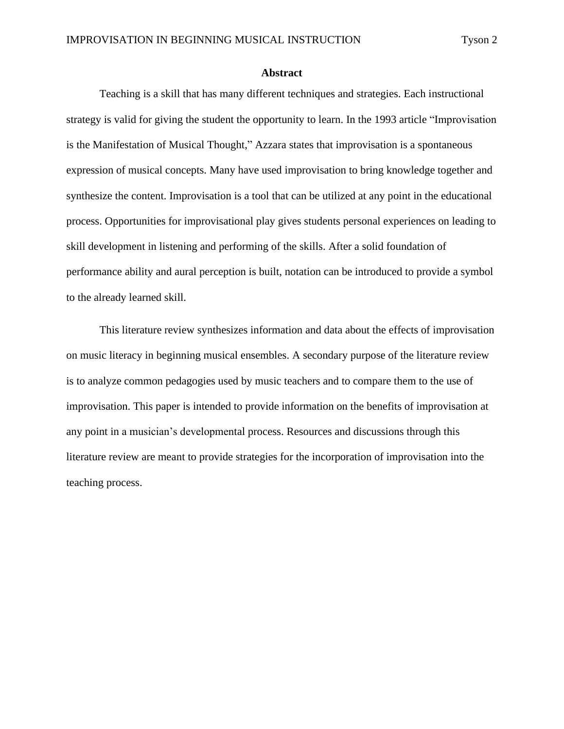#### **Abstract**

Teaching is a skill that has many different techniques and strategies. Each instructional strategy is valid for giving the student the opportunity to learn. In the 1993 article "Improvisation is the Manifestation of Musical Thought," Azzara states that improvisation is a spontaneous expression of musical concepts. Many have used improvisation to bring knowledge together and synthesize the content. Improvisation is a tool that can be utilized at any point in the educational process. Opportunities for improvisational play gives students personal experiences on leading to skill development in listening and performing of the skills. After a solid foundation of performance ability and aural perception is built, notation can be introduced to provide a symbol to the already learned skill.

This literature review synthesizes information and data about the effects of improvisation on music literacy in beginning musical ensembles. A secondary purpose of the literature review is to analyze common pedagogies used by music teachers and to compare them to the use of improvisation. This paper is intended to provide information on the benefits of improvisation at any point in a musician's developmental process. Resources and discussions through this literature review are meant to provide strategies for the incorporation of improvisation into the teaching process.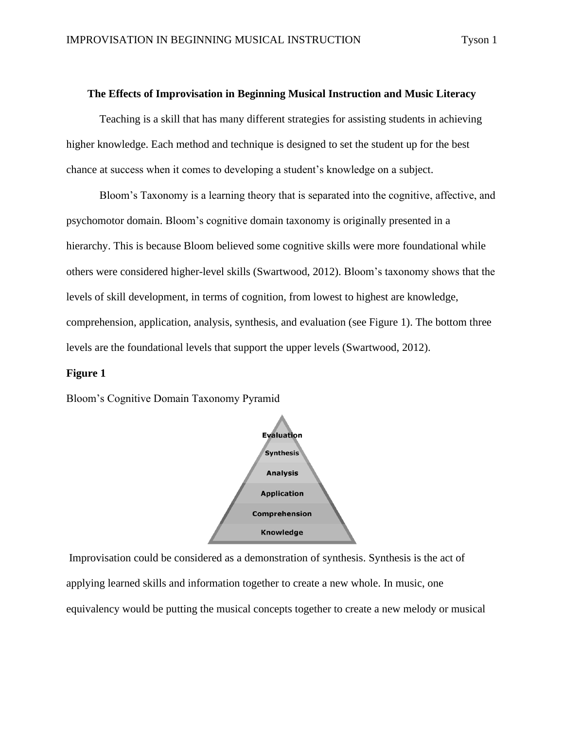#### **The Effects of Improvisation in Beginning Musical Instruction and Music Literacy**

Teaching is a skill that has many different strategies for assisting students in achieving higher knowledge. Each method and technique is designed to set the student up for the best chance at success when it comes to developing a student's knowledge on a subject.

Bloom's Taxonomy is a learning theory that is separated into the cognitive, affective, and psychomotor domain. Bloom's cognitive domain taxonomy is originally presented in a hierarchy. This is because Bloom believed some cognitive skills were more foundational while others were considered higher-level skills (Swartwood, 2012). Bloom's taxonomy shows that the levels of skill development, in terms of cognition, from lowest to highest are knowledge, comprehension, application, analysis, synthesis, and evaluation (see Figure 1). The bottom three levels are the foundational levels that support the upper levels (Swartwood, 2012).

#### **Figure 1**

Bloom's Cognitive Domain Taxonomy Pyramid



Improvisation could be considered as a demonstration of synthesis. Synthesis is the act of applying learned skills and information together to create a new whole. In music, one equivalency would be putting the musical concepts together to create a new melody or musical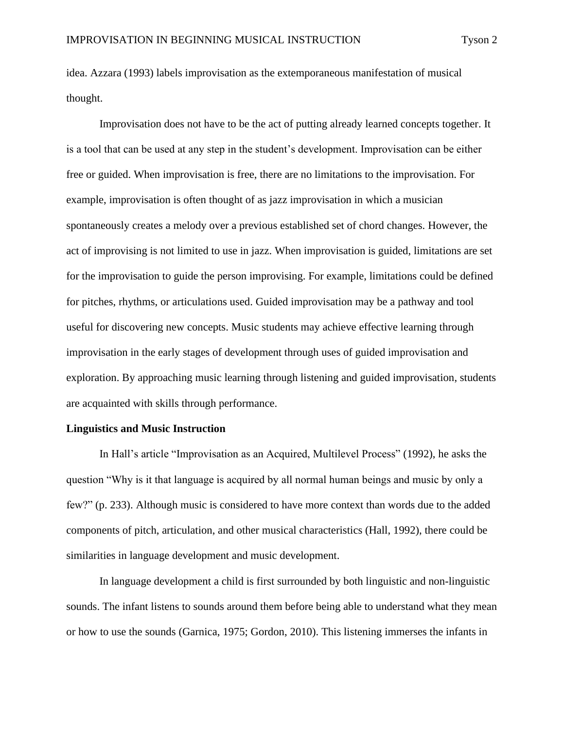idea. Azzara (1993) labels improvisation as the extemporaneous manifestation of musical thought.

Improvisation does not have to be the act of putting already learned concepts together. It is a tool that can be used at any step in the student's development. Improvisation can be either free or guided. When improvisation is free, there are no limitations to the improvisation. For example, improvisation is often thought of as jazz improvisation in which a musician spontaneously creates a melody over a previous established set of chord changes. However, the act of improvising is not limited to use in jazz. When improvisation is guided, limitations are set for the improvisation to guide the person improvising. For example, limitations could be defined for pitches, rhythms, or articulations used. Guided improvisation may be a pathway and tool useful for discovering new concepts. Music students may achieve effective learning through improvisation in the early stages of development through uses of guided improvisation and exploration. By approaching music learning through listening and guided improvisation, students are acquainted with skills through performance.

#### **Linguistics and Music Instruction**

In Hall's article "Improvisation as an Acquired, Multilevel Process" (1992), he asks the question "Why is it that language is acquired by all normal human beings and music by only a few?" (p. 233). Although music is considered to have more context than words due to the added components of pitch, articulation, and other musical characteristics (Hall, 1992), there could be similarities in language development and music development.

In language development a child is first surrounded by both linguistic and non-linguistic sounds. The infant listens to sounds around them before being able to understand what they mean or how to use the sounds (Garnica, 1975; Gordon, 2010). This listening immerses the infants in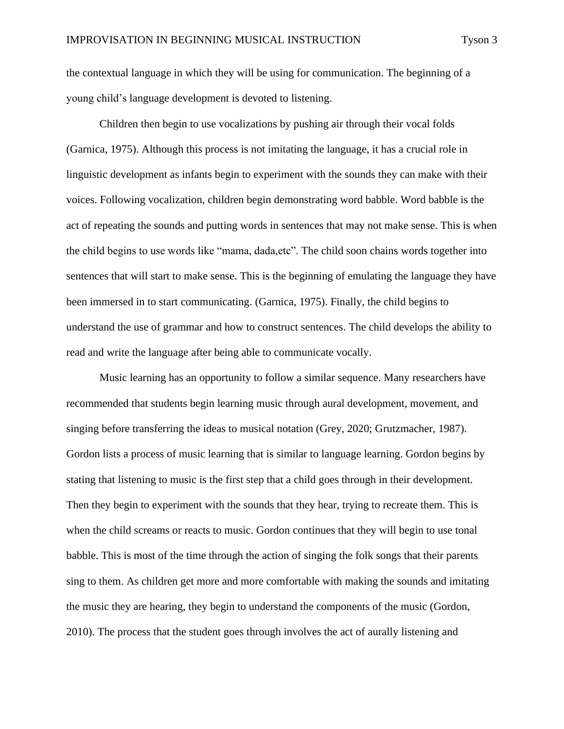the contextual language in which they will be using for communication. The beginning of a young child's language development is devoted to listening.

Children then begin to use vocalizations by pushing air through their vocal folds (Garnica, 1975). Although this process is not imitating the language, it has a crucial role in linguistic development as infants begin to experiment with the sounds they can make with their voices. Following vocalization, children begin demonstrating word babble. Word babble is the act of repeating the sounds and putting words in sentences that may not make sense. This is when the child begins to use words like "mama, dada,etc". The child soon chains words together into sentences that will start to make sense. This is the beginning of emulating the language they have been immersed in to start communicating. (Garnica, 1975). Finally, the child begins to understand the use of grammar and how to construct sentences. The child develops the ability to read and write the language after being able to communicate vocally.

Music learning has an opportunity to follow a similar sequence. Many researchers have recommended that students begin learning music through aural development, movement, and singing before transferring the ideas to musical notation (Grey, 2020; Grutzmacher, 1987). Gordon lists a process of music learning that is similar to language learning. Gordon begins by stating that listening to music is the first step that a child goes through in their development. Then they begin to experiment with the sounds that they hear, trying to recreate them. This is when the child screams or reacts to music. Gordon continues that they will begin to use tonal babble. This is most of the time through the action of singing the folk songs that their parents sing to them. As children get more and more comfortable with making the sounds and imitating the music they are hearing, they begin to understand the components of the music (Gordon, 2010). The process that the student goes through involves the act of aurally listening and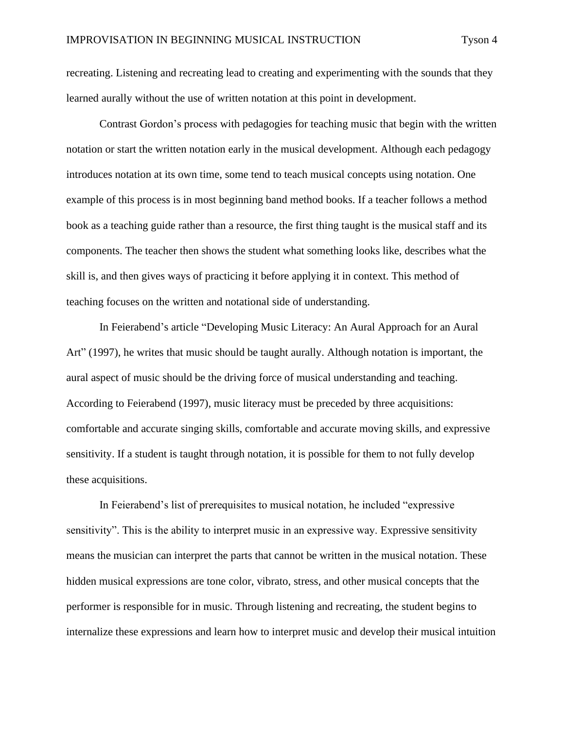recreating. Listening and recreating lead to creating and experimenting with the sounds that they learned aurally without the use of written notation at this point in development.

Contrast Gordon's process with pedagogies for teaching music that begin with the written notation or start the written notation early in the musical development. Although each pedagogy introduces notation at its own time, some tend to teach musical concepts using notation. One example of this process is in most beginning band method books. If a teacher follows a method book as a teaching guide rather than a resource, the first thing taught is the musical staff and its components. The teacher then shows the student what something looks like, describes what the skill is, and then gives ways of practicing it before applying it in context. This method of teaching focuses on the written and notational side of understanding.

In Feierabend's article "Developing Music Literacy: An Aural Approach for an Aural Art" (1997), he writes that music should be taught aurally. Although notation is important, the aural aspect of music should be the driving force of musical understanding and teaching. According to Feierabend (1997), music literacy must be preceded by three acquisitions: comfortable and accurate singing skills, comfortable and accurate moving skills, and expressive sensitivity. If a student is taught through notation, it is possible for them to not fully develop these acquisitions.

In Feierabend's list of prerequisites to musical notation, he included "expressive sensitivity". This is the ability to interpret music in an expressive way. Expressive sensitivity means the musician can interpret the parts that cannot be written in the musical notation. These hidden musical expressions are tone color, vibrato, stress, and other musical concepts that the performer is responsible for in music. Through listening and recreating, the student begins to internalize these expressions and learn how to interpret music and develop their musical intuition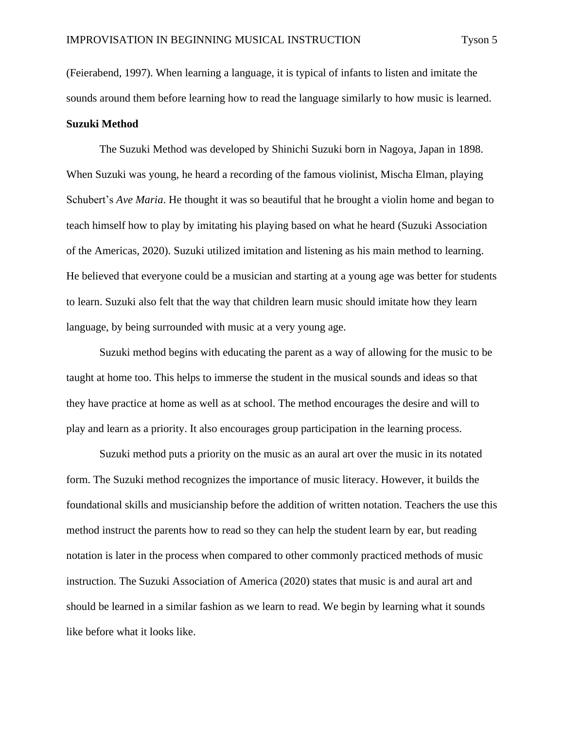(Feierabend, 1997). When learning a language, it is typical of infants to listen and imitate the sounds around them before learning how to read the language similarly to how music is learned. **Suzuki Method**

The Suzuki Method was developed by Shinichi Suzuki born in Nagoya, Japan in 1898. When Suzuki was young, he heard a recording of the famous violinist, Mischa Elman, playing Schubert's *Ave Maria*. He thought it was so beautiful that he brought a violin home and began to teach himself how to play by imitating his playing based on what he heard (Suzuki Association of the Americas, 2020). Suzuki utilized imitation and listening as his main method to learning. He believed that everyone could be a musician and starting at a young age was better for students to learn. Suzuki also felt that the way that children learn music should imitate how they learn language, by being surrounded with music at a very young age.

Suzuki method begins with educating the parent as a way of allowing for the music to be taught at home too. This helps to immerse the student in the musical sounds and ideas so that they have practice at home as well as at school. The method encourages the desire and will to play and learn as a priority. It also encourages group participation in the learning process.

Suzuki method puts a priority on the music as an aural art over the music in its notated form. The Suzuki method recognizes the importance of music literacy. However, it builds the foundational skills and musicianship before the addition of written notation. Teachers the use this method instruct the parents how to read so they can help the student learn by ear, but reading notation is later in the process when compared to other commonly practiced methods of music instruction. The Suzuki Association of America (2020) states that music is and aural art and should be learned in a similar fashion as we learn to read. We begin by learning what it sounds like before what it looks like.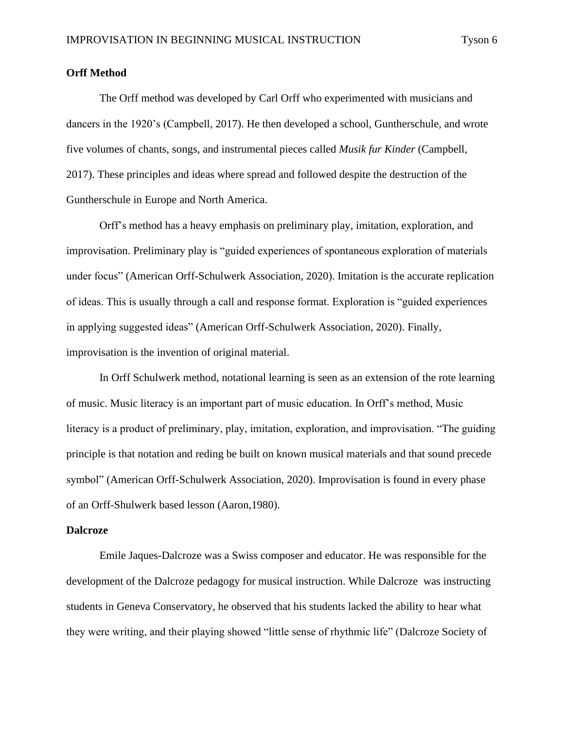## **Orff Method**

The Orff method was developed by Carl Orff who experimented with musicians and dancers in the 1920's (Campbell, 2017). He then developed a school, Guntherschule, and wrote five volumes of chants, songs, and instrumental pieces called *Musik fur Kinder* (Campbell, 2017). These principles and ideas where spread and followed despite the destruction of the Guntherschule in Europe and North America.

Orff's method has a heavy emphasis on preliminary play, imitation, exploration, and improvisation. Preliminary play is "guided experiences of spontaneous exploration of materials under focus" (American Orff-Schulwerk Association, 2020). Imitation is the accurate replication of ideas. This is usually through a call and response format. Exploration is "guided experiences in applying suggested ideas" (American Orff-Schulwerk Association, 2020). Finally, improvisation is the invention of original material.

In Orff Schulwerk method, notational learning is seen as an extension of the rote learning of music. Music literacy is an important part of music education. In Orff's method, Music literacy is a product of preliminary, play, imitation, exploration, and improvisation. "The guiding principle is that notation and reding be built on known musical materials and that sound precede symbol" (American Orff-Schulwerk Association, 2020). Improvisation is found in every phase of an Orff-Shulwerk based lesson (Aaron,1980).

#### **Dalcroze**

Emile Jaques-Dalcroze was a Swiss composer and educator. He was responsible for the development of the Dalcroze pedagogy for musical instruction. While Dalcroze was instructing students in Geneva Conservatory, he observed that his students lacked the ability to hear what they were writing, and their playing showed "little sense of rhythmic life" (Dalcroze Society of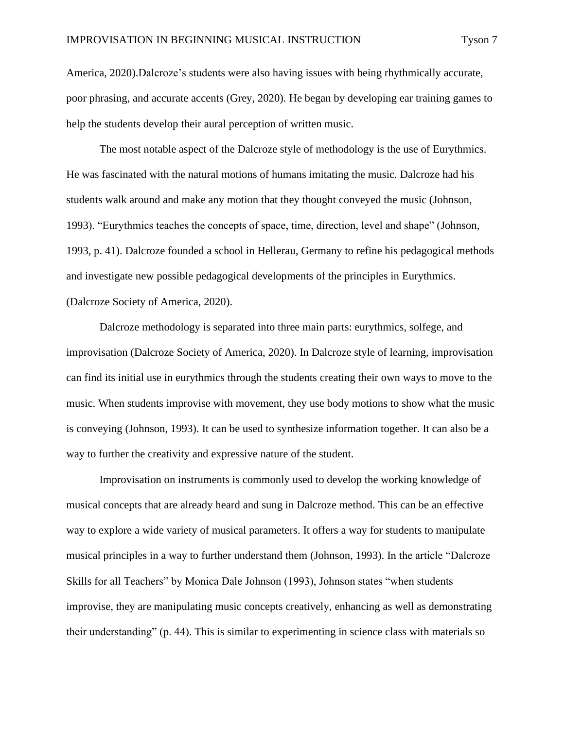America, 2020).Dalcroze's students were also having issues with being rhythmically accurate, poor phrasing, and accurate accents (Grey, 2020). He began by developing ear training games to help the students develop their aural perception of written music.

The most notable aspect of the Dalcroze style of methodology is the use of Eurythmics. He was fascinated with the natural motions of humans imitating the music. Dalcroze had his students walk around and make any motion that they thought conveyed the music (Johnson, 1993). "Eurythmics teaches the concepts of space, time, direction, level and shape" (Johnson, 1993, p. 41). Dalcroze founded a school in Hellerau, Germany to refine his pedagogical methods and investigate new possible pedagogical developments of the principles in Eurythmics. (Dalcroze Society of America, 2020).

Dalcroze methodology is separated into three main parts: eurythmics, solfege, and improvisation (Dalcroze Society of America, 2020). In Dalcroze style of learning, improvisation can find its initial use in eurythmics through the students creating their own ways to move to the music. When students improvise with movement, they use body motions to show what the music is conveying (Johnson, 1993). It can be used to synthesize information together. It can also be a way to further the creativity and expressive nature of the student.

Improvisation on instruments is commonly used to develop the working knowledge of musical concepts that are already heard and sung in Dalcroze method. This can be an effective way to explore a wide variety of musical parameters. It offers a way for students to manipulate musical principles in a way to further understand them (Johnson, 1993). In the article "Dalcroze Skills for all Teachers" by Monica Dale Johnson (1993), Johnson states "when students improvise, they are manipulating music concepts creatively, enhancing as well as demonstrating their understanding" (p. 44). This is similar to experimenting in science class with materials so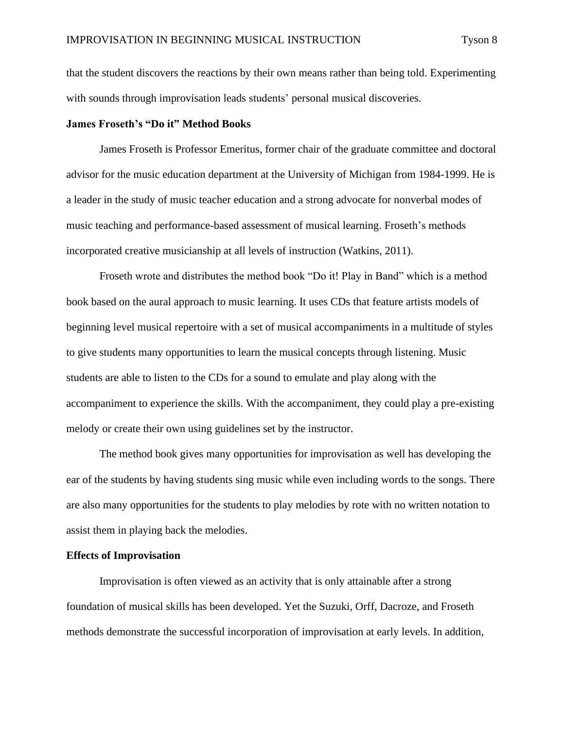that the student discovers the reactions by their own means rather than being told. Experimenting with sounds through improvisation leads students' personal musical discoveries.

#### **James Froseth's "Do it" Method Books**

James Froseth is Professor Emeritus, former chair of the graduate committee and doctoral advisor for the music education department at the University of Michigan from 1984-1999. He is a leader in the study of music teacher education and a strong advocate for nonverbal modes of music teaching and performance-based assessment of musical learning. Froseth's methods incorporated creative musicianship at all levels of instruction (Watkins, 2011).

Froseth wrote and distributes the method book "Do it! Play in Band" which is a method book based on the aural approach to music learning. It uses CDs that feature artists models of beginning level musical repertoire with a set of musical accompaniments in a multitude of styles to give students many opportunities to learn the musical concepts through listening. Music students are able to listen to the CDs for a sound to emulate and play along with the accompaniment to experience the skills. With the accompaniment, they could play a pre-existing melody or create their own using guidelines set by the instructor.

The method book gives many opportunities for improvisation as well has developing the ear of the students by having students sing music while even including words to the songs. There are also many opportunities for the students to play melodies by rote with no written notation to assist them in playing back the melodies.

#### **Effects of Improvisation**

Improvisation is often viewed as an activity that is only attainable after a strong foundation of musical skills has been developed. Yet the Suzuki, Orff, Dacroze, and Froseth methods demonstrate the successful incorporation of improvisation at early levels. In addition,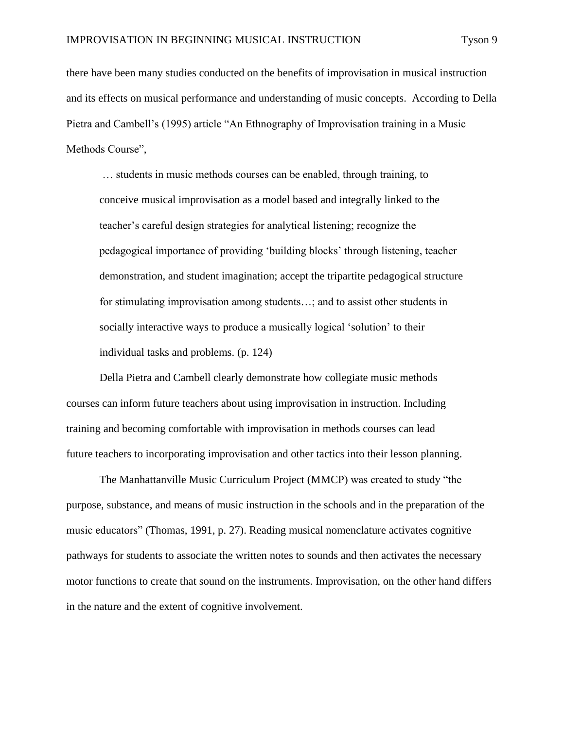there have been many studies conducted on the benefits of improvisation in musical instruction and its effects on musical performance and understanding of music concepts. According to Della Pietra and Cambell's (1995) article "An Ethnography of Improvisation training in a Music Methods Course",

… students in music methods courses can be enabled, through training, to conceive musical improvisation as a model based and integrally linked to the teacher's careful design strategies for analytical listening; recognize the pedagogical importance of providing 'building blocks' through listening, teacher demonstration, and student imagination; accept the tripartite pedagogical structure for stimulating improvisation among students…; and to assist other students in socially interactive ways to produce a musically logical 'solution' to their individual tasks and problems. (p. 124)

Della Pietra and Cambell clearly demonstrate how collegiate music methods courses can inform future teachers about using improvisation in instruction. Including training and becoming comfortable with improvisation in methods courses can lead future teachers to incorporating improvisation and other tactics into their lesson planning.

The Manhattanville Music Curriculum Project (MMCP) was created to study "the purpose, substance, and means of music instruction in the schools and in the preparation of the music educators" (Thomas, 1991, p. 27). Reading musical nomenclature activates cognitive pathways for students to associate the written notes to sounds and then activates the necessary motor functions to create that sound on the instruments. Improvisation, on the other hand differs in the nature and the extent of cognitive involvement.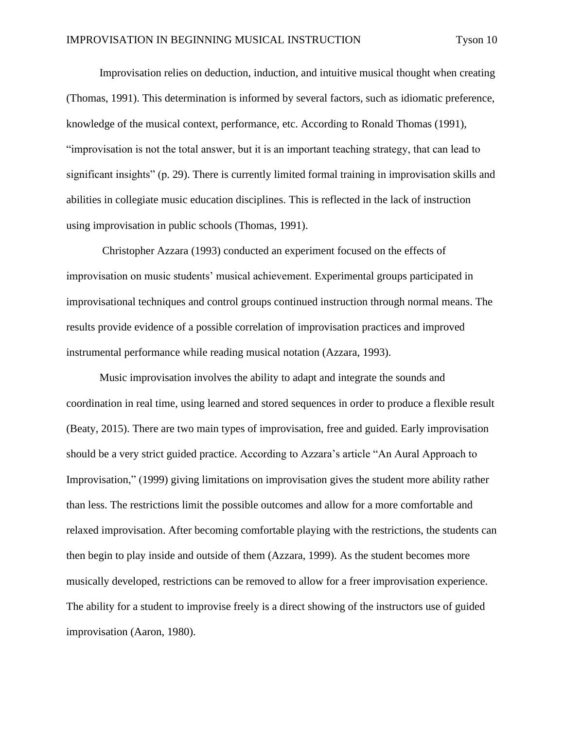Improvisation relies on deduction, induction, and intuitive musical thought when creating (Thomas, 1991). This determination is informed by several factors, such as idiomatic preference, knowledge of the musical context, performance, etc. According to Ronald Thomas (1991), "improvisation is not the total answer, but it is an important teaching strategy, that can lead to significant insights" (p. 29). There is currently limited formal training in improvisation skills and abilities in collegiate music education disciplines. This is reflected in the lack of instruction using improvisation in public schools (Thomas, 1991).

Christopher Azzara (1993) conducted an experiment focused on the effects of improvisation on music students' musical achievement. Experimental groups participated in improvisational techniques and control groups continued instruction through normal means. The results provide evidence of a possible correlation of improvisation practices and improved instrumental performance while reading musical notation (Azzara, 1993).

Music improvisation involves the ability to adapt and integrate the sounds and coordination in real time, using learned and stored sequences in order to produce a flexible result (Beaty, 2015). There are two main types of improvisation, free and guided. Early improvisation should be a very strict guided practice. According to Azzara's article "An Aural Approach to Improvisation," (1999) giving limitations on improvisation gives the student more ability rather than less. The restrictions limit the possible outcomes and allow for a more comfortable and relaxed improvisation. After becoming comfortable playing with the restrictions, the students can then begin to play inside and outside of them (Azzara, 1999). As the student becomes more musically developed, restrictions can be removed to allow for a freer improvisation experience. The ability for a student to improvise freely is a direct showing of the instructors use of guided improvisation (Aaron, 1980).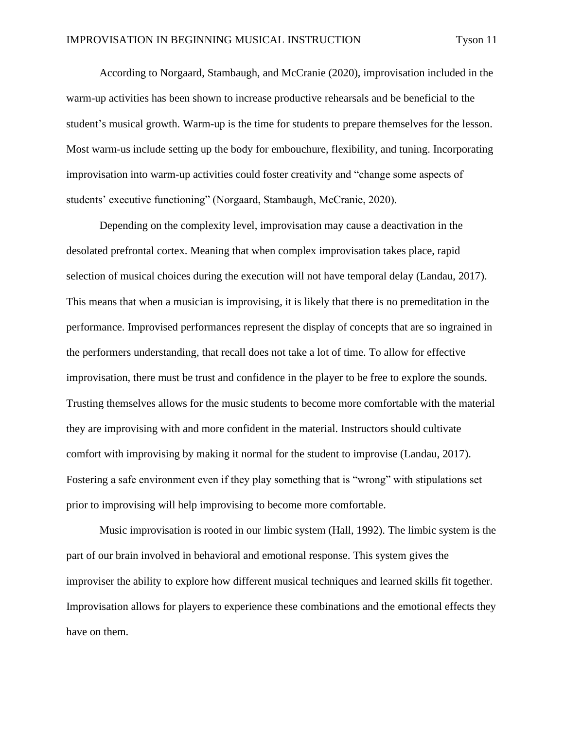According to Norgaard, Stambaugh, and McCranie (2020), improvisation included in the warm-up activities has been shown to increase productive rehearsals and be beneficial to the student's musical growth. Warm-up is the time for students to prepare themselves for the lesson. Most warm-us include setting up the body for embouchure, flexibility, and tuning. Incorporating improvisation into warm-up activities could foster creativity and "change some aspects of students' executive functioning" (Norgaard, Stambaugh, McCranie, 2020).

Depending on the complexity level, improvisation may cause a deactivation in the desolated prefrontal cortex. Meaning that when complex improvisation takes place, rapid selection of musical choices during the execution will not have temporal delay (Landau, 2017). This means that when a musician is improvising, it is likely that there is no premeditation in the performance. Improvised performances represent the display of concepts that are so ingrained in the performers understanding, that recall does not take a lot of time. To allow for effective improvisation, there must be trust and confidence in the player to be free to explore the sounds. Trusting themselves allows for the music students to become more comfortable with the material they are improvising with and more confident in the material. Instructors should cultivate comfort with improvising by making it normal for the student to improvise (Landau, 2017). Fostering a safe environment even if they play something that is "wrong" with stipulations set prior to improvising will help improvising to become more comfortable.

Music improvisation is rooted in our limbic system (Hall, 1992). The limbic system is the part of our brain involved in behavioral and emotional response. This system gives the improviser the ability to explore how different musical techniques and learned skills fit together. Improvisation allows for players to experience these combinations and the emotional effects they have on them.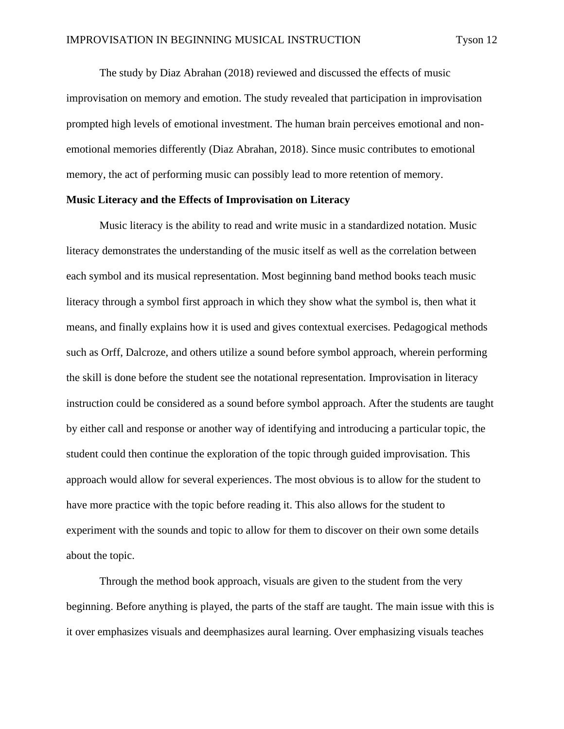The study by Diaz Abrahan (2018) reviewed and discussed the effects of music improvisation on memory and emotion. The study revealed that participation in improvisation prompted high levels of emotional investment. The human brain perceives emotional and nonemotional memories differently (Diaz Abrahan, 2018). Since music contributes to emotional memory, the act of performing music can possibly lead to more retention of memory.

### **Music Literacy and the Effects of Improvisation on Literacy**

Music literacy is the ability to read and write music in a standardized notation. Music literacy demonstrates the understanding of the music itself as well as the correlation between each symbol and its musical representation. Most beginning band method books teach music literacy through a symbol first approach in which they show what the symbol is, then what it means, and finally explains how it is used and gives contextual exercises. Pedagogical methods such as Orff, Dalcroze, and others utilize a sound before symbol approach, wherein performing the skill is done before the student see the notational representation. Improvisation in literacy instruction could be considered as a sound before symbol approach. After the students are taught by either call and response or another way of identifying and introducing a particular topic, the student could then continue the exploration of the topic through guided improvisation. This approach would allow for several experiences. The most obvious is to allow for the student to have more practice with the topic before reading it. This also allows for the student to experiment with the sounds and topic to allow for them to discover on their own some details about the topic.

Through the method book approach, visuals are given to the student from the very beginning. Before anything is played, the parts of the staff are taught. The main issue with this is it over emphasizes visuals and deemphasizes aural learning. Over emphasizing visuals teaches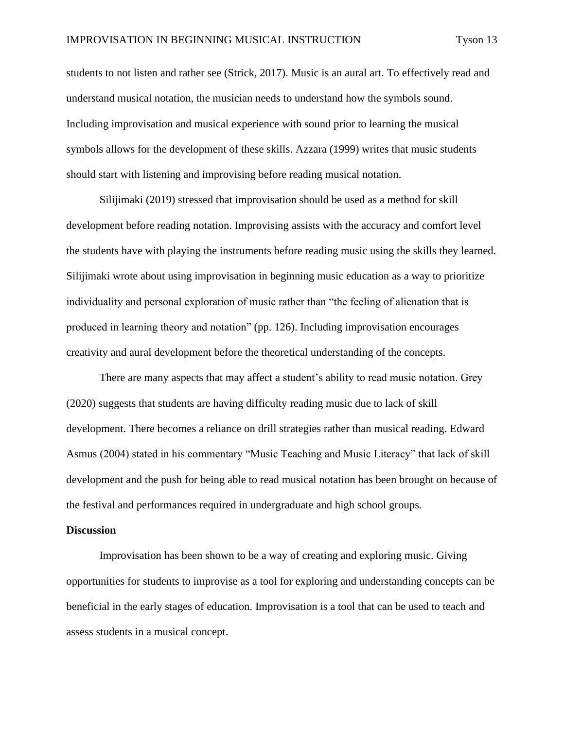students to not listen and rather see (Strick, 2017). Music is an aural art. To effectively read and understand musical notation, the musician needs to understand how the symbols sound. Including improvisation and musical experience with sound prior to learning the musical symbols allows for the development of these skills. Azzara (1999) writes that music students should start with listening and improvising before reading musical notation.

Silijimaki (2019) stressed that improvisation should be used as a method for skill development before reading notation. Improvising assists with the accuracy and comfort level the students have with playing the instruments before reading music using the skills they learned. Silijimaki wrote about using improvisation in beginning music education as a way to prioritize individuality and personal exploration of music rather than "the feeling of alienation that is produced in learning theory and notation" (pp. 126). Including improvisation encourages creativity and aural development before the theoretical understanding of the concepts.

There are many aspects that may affect a student's ability to read music notation. Grey (2020) suggests that students are having difficulty reading music due to lack of skill development. There becomes a reliance on drill strategies rather than musical reading. Edward Asmus (2004) stated in his commentary "Music Teaching and Music Literacy" that lack of skill development and the push for being able to read musical notation has been brought on because of the festival and performances required in undergraduate and high school groups.

#### **Discussion**

Improvisation has been shown to be a way of creating and exploring music. Giving opportunities for students to improvise as a tool for exploring and understanding concepts can be beneficial in the early stages of education. Improvisation is a tool that can be used to teach and assess students in a musical concept.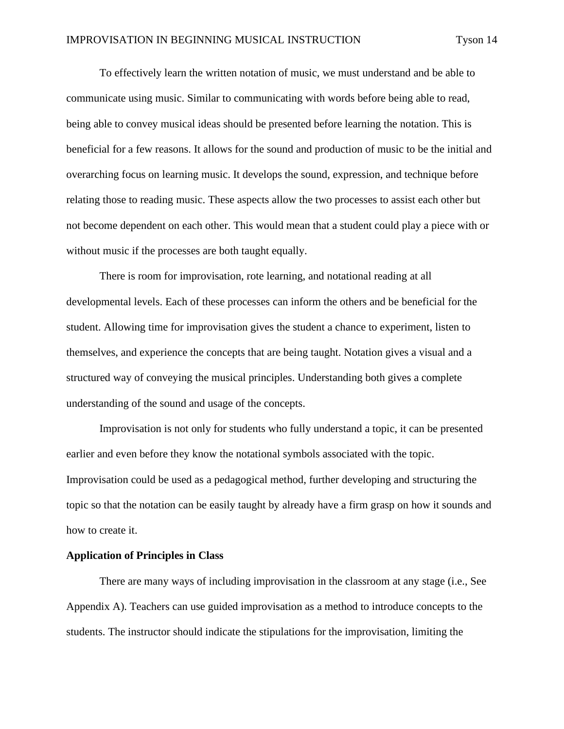To effectively learn the written notation of music, we must understand and be able to communicate using music. Similar to communicating with words before being able to read, being able to convey musical ideas should be presented before learning the notation. This is beneficial for a few reasons. It allows for the sound and production of music to be the initial and overarching focus on learning music. It develops the sound, expression, and technique before relating those to reading music. These aspects allow the two processes to assist each other but not become dependent on each other. This would mean that a student could play a piece with or without music if the processes are both taught equally.

There is room for improvisation, rote learning, and notational reading at all developmental levels. Each of these processes can inform the others and be beneficial for the student. Allowing time for improvisation gives the student a chance to experiment, listen to themselves, and experience the concepts that are being taught. Notation gives a visual and a structured way of conveying the musical principles. Understanding both gives a complete understanding of the sound and usage of the concepts.

Improvisation is not only for students who fully understand a topic, it can be presented earlier and even before they know the notational symbols associated with the topic. Improvisation could be used as a pedagogical method, further developing and structuring the topic so that the notation can be easily taught by already have a firm grasp on how it sounds and how to create it.

## **Application of Principles in Class**

There are many ways of including improvisation in the classroom at any stage (i.e., See Appendix A). Teachers can use guided improvisation as a method to introduce concepts to the students. The instructor should indicate the stipulations for the improvisation, limiting the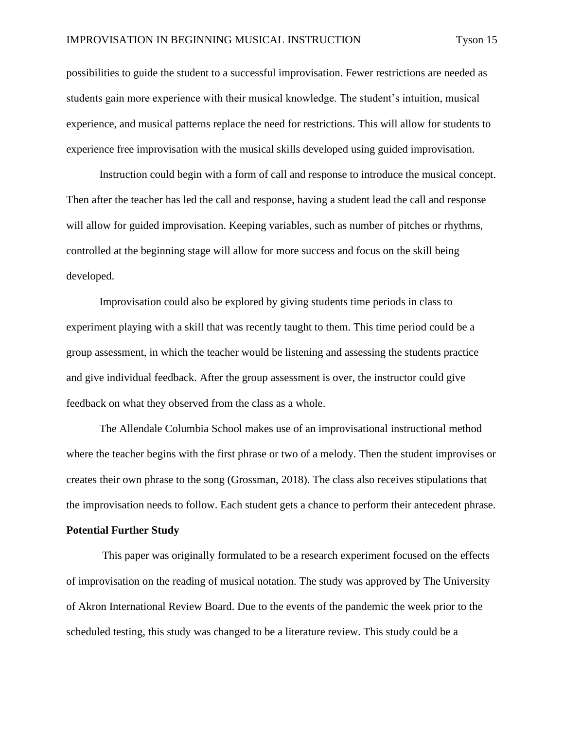possibilities to guide the student to a successful improvisation. Fewer restrictions are needed as students gain more experience with their musical knowledge. The student's intuition, musical experience, and musical patterns replace the need for restrictions. This will allow for students to experience free improvisation with the musical skills developed using guided improvisation.

Instruction could begin with a form of call and response to introduce the musical concept. Then after the teacher has led the call and response, having a student lead the call and response will allow for guided improvisation. Keeping variables, such as number of pitches or rhythms, controlled at the beginning stage will allow for more success and focus on the skill being developed.

Improvisation could also be explored by giving students time periods in class to experiment playing with a skill that was recently taught to them. This time period could be a group assessment, in which the teacher would be listening and assessing the students practice and give individual feedback. After the group assessment is over, the instructor could give feedback on what they observed from the class as a whole.

The Allendale Columbia School makes use of an improvisational instructional method where the teacher begins with the first phrase or two of a melody. Then the student improvises or creates their own phrase to the song (Grossman, 2018). The class also receives stipulations that the improvisation needs to follow. Each student gets a chance to perform their antecedent phrase.

#### **Potential Further Study**

This paper was originally formulated to be a research experiment focused on the effects of improvisation on the reading of musical notation. The study was approved by The University of Akron International Review Board. Due to the events of the pandemic the week prior to the scheduled testing, this study was changed to be a literature review. This study could be a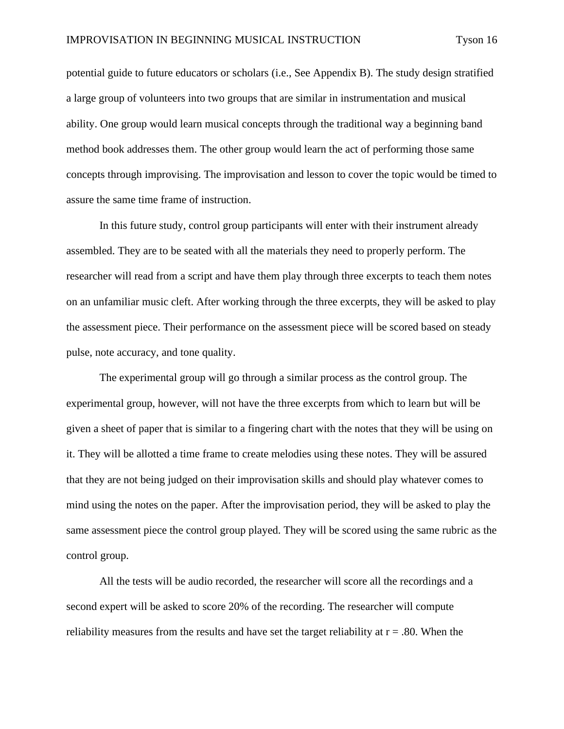potential guide to future educators or scholars (i.e., See Appendix B). The study design stratified a large group of volunteers into two groups that are similar in instrumentation and musical ability. One group would learn musical concepts through the traditional way a beginning band method book addresses them. The other group would learn the act of performing those same concepts through improvising. The improvisation and lesson to cover the topic would be timed to assure the same time frame of instruction.

In this future study, control group participants will enter with their instrument already assembled. They are to be seated with all the materials they need to properly perform. The researcher will read from a script and have them play through three excerpts to teach them notes on an unfamiliar music cleft. After working through the three excerpts, they will be asked to play the assessment piece. Their performance on the assessment piece will be scored based on steady pulse, note accuracy, and tone quality.

The experimental group will go through a similar process as the control group. The experimental group, however, will not have the three excerpts from which to learn but will be given a sheet of paper that is similar to a fingering chart with the notes that they will be using on it. They will be allotted a time frame to create melodies using these notes. They will be assured that they are not being judged on their improvisation skills and should play whatever comes to mind using the notes on the paper. After the improvisation period, they will be asked to play the same assessment piece the control group played. They will be scored using the same rubric as the control group.

All the tests will be audio recorded, the researcher will score all the recordings and a second expert will be asked to score 20% of the recording. The researcher will compute reliability measures from the results and have set the target reliability at  $r = .80$ . When the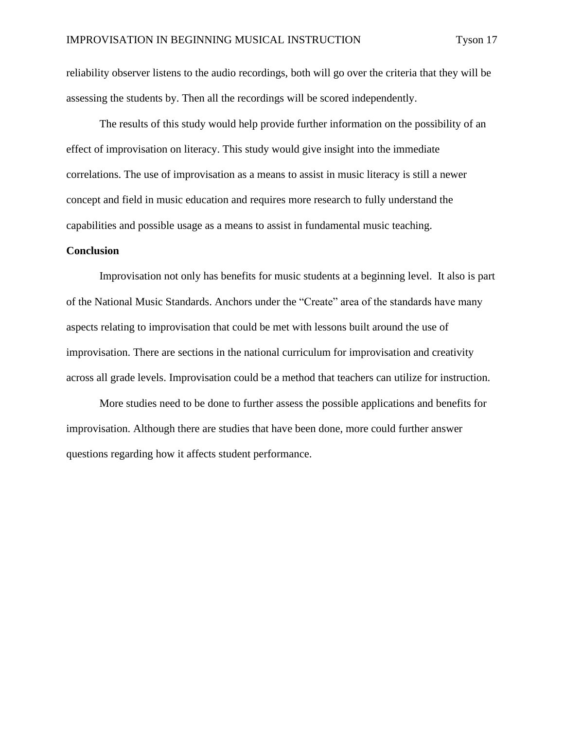reliability observer listens to the audio recordings, both will go over the criteria that they will be assessing the students by. Then all the recordings will be scored independently.

The results of this study would help provide further information on the possibility of an effect of improvisation on literacy. This study would give insight into the immediate correlations. The use of improvisation as a means to assist in music literacy is still a newer concept and field in music education and requires more research to fully understand the capabilities and possible usage as a means to assist in fundamental music teaching.

#### **Conclusion**

Improvisation not only has benefits for music students at a beginning level. It also is part of the National Music Standards. Anchors under the "Create" area of the standards have many aspects relating to improvisation that could be met with lessons built around the use of improvisation. There are sections in the national curriculum for improvisation and creativity across all grade levels. Improvisation could be a method that teachers can utilize for instruction.

More studies need to be done to further assess the possible applications and benefits for improvisation. Although there are studies that have been done, more could further answer questions regarding how it affects student performance.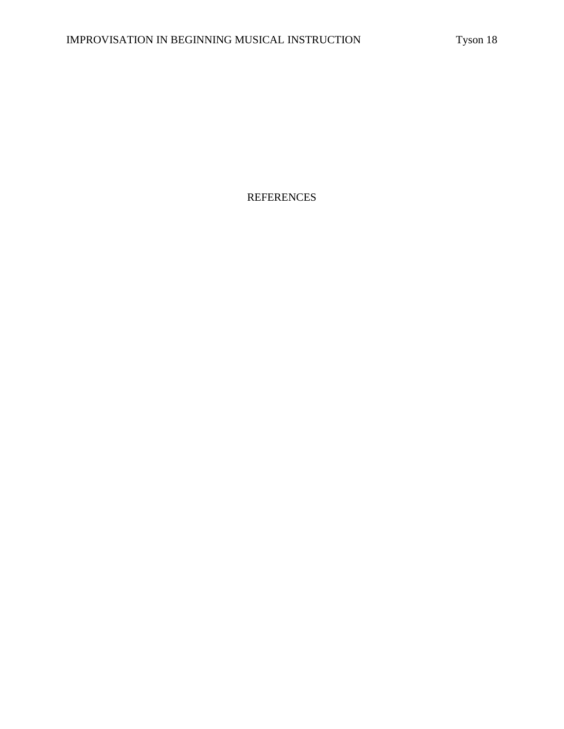REFERENCES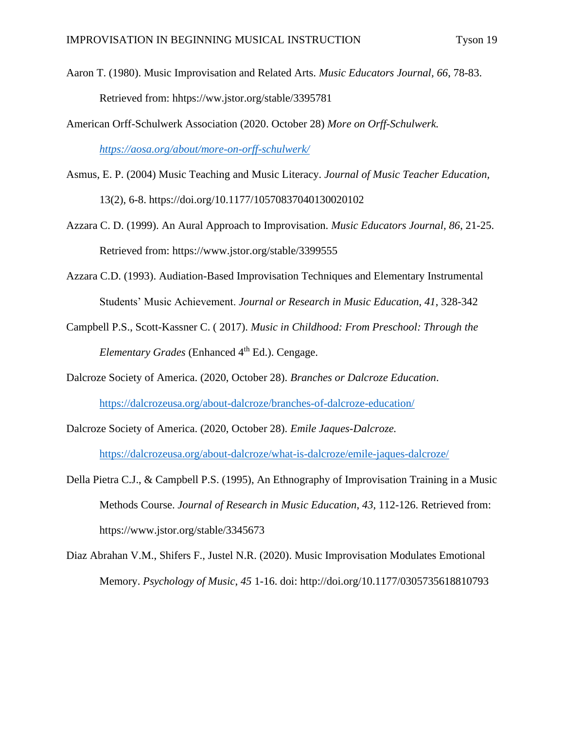- Aaron T. (1980). Music Improvisation and Related Arts. *Music Educators Journal, 66*, 78-83. Retrieved from: hhtps://ww.jstor.org/stable/3395781
- American Orff-Schulwerk Association (2020. October 28) *More on Orff-Schulwerk.*

*<https://aosa.org/about/more-on-orff-schulwerk/>*

- Asmus, E. P. (2004) Music Teaching and Music Literacy. *Journal of Music Teacher Education,*  13(2), 6-8. https://doi.org/10.1177/10570837040130020102
- Azzara C. D. (1999). An Aural Approach to Improvisation. *Music Educators Journal, 86*, 21-25. Retrieved from: https://www.jstor.org/stable/3399555
- Azzara C.D. (1993). Audiation-Based Improvisation Techniques and Elementary Instrumental Students' Music Achievement. *Journal or Research in Music Education*, *41*, 328-342
- Campbell P.S., Scott-Kassner C. ( 2017). *Music in Childhood: From Preschool: Through the Elementary Grades* (Enhanced 4<sup>th</sup> Ed.). Cengage.
- Dalcroze Society of America. (2020, October 28). *Branches or Dalcroze Education*. <https://dalcrozeusa.org/about-dalcroze/branches-of-dalcroze-education/>
- Dalcroze Society of America. (2020, October 28). *Emile Jaques-Dalcroze.* <https://dalcrozeusa.org/about-dalcroze/what-is-dalcroze/emile-jaques-dalcroze/>
- Della Pietra C.J., & Campbell P.S. (1995), An Ethnography of Improvisation Training in a Music Methods Course. *Journal of Research in Music Education*, *43*, 112-126. Retrieved from: https://www.jstor.org/stable/3345673
- Diaz Abrahan V.M., Shifers F., Justel N.R. (2020). Music Improvisation Modulates Emotional Memory. *Psychology of Music*, *45* 1-16. doi: http://doi.org/10.1177/0305735618810793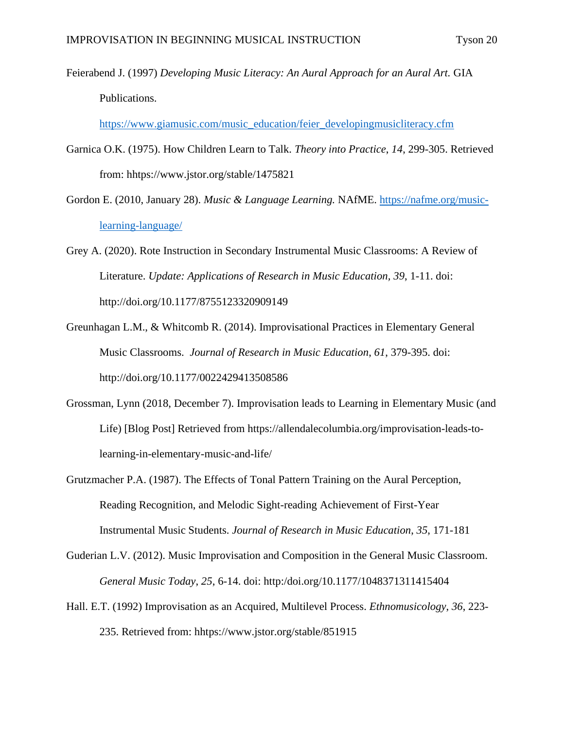Feierabend J. (1997) *Developing Music Literacy: An Aural Approach for an Aural Art.* GIA Publications.

[https://www.giamusic.com/music\\_education/feier\\_developingmusicliteracy.cfm](https://www.giamusic.com/music_education/feier_developingmusicliteracy.cfm)

- Garnica O.K. (1975). How Children Learn to Talk. *Theory into Practice*, *14*, 299-305. Retrieved from: hhtps://www.jstor.org/stable/1475821
- Gordon E. (2010, January 28). *Music & Language Learning.* NAfME. [https://nafme.org/music](https://nafme.org/music-learning-language/)[learning-language/](https://nafme.org/music-learning-language/)

Grey A. (2020). Rote Instruction in Secondary Instrumental Music Classrooms: A Review of Literature. *Update: Applications of Research in Music Education, 39*, 1-11. doi: http://doi.org/10.1177/8755123320909149

- Greunhagan L.M., & Whitcomb R. (2014). Improvisational Practices in Elementary General Music Classrooms. *Journal of Research in Music Education*, *61*, 379-395. doi: http://doi.org/10.1177/0022429413508586
- Grossman, Lynn (2018, December 7). Improvisation leads to Learning in Elementary Music (and Life) [Blog Post] Retrieved from https://allendalecolumbia.org/improvisation-leads-tolearning-in-elementary-music-and-life/
- Grutzmacher P.A. (1987). The Effects of Tonal Pattern Training on the Aural Perception, Reading Recognition, and Melodic Sight-reading Achievement of First-Year Instrumental Music Students. *Journal of Research in Music Education*, *35*, 171-181
- Guderian L.V. (2012). Music Improvisation and Composition in the General Music Classroom. *General Music Today*, *25*, 6-14. doi: http:/doi.org/10.1177/1048371311415404
- Hall. E.T. (1992) Improvisation as an Acquired, Multilevel Process. *Ethnomusicology*, *36*, 223- 235. Retrieved from: hhtps://www.jstor.org/stable/851915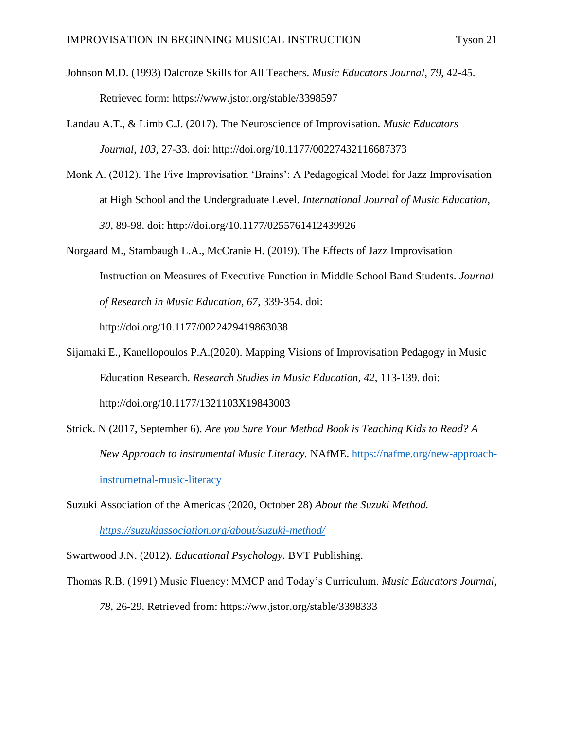Johnson M.D. (1993) Dalcroze Skills for All Teachers. *Music Educators Journal*, *79*, 42-45. Retrieved form: https://www.jstor.org/stable/3398597

- Landau A.T., & Limb C.J. (2017). The Neuroscience of Improvisation. *Music Educators Journal*, *103*, 27-33. doi: http://doi.org/10.1177/00227432116687373
- Monk A. (2012). The Five Improvisation 'Brains': A Pedagogical Model for Jazz Improvisation at High School and the Undergraduate Level. *International Journal of Music Education*, *30*, 89-98. doi: http://doi.org/10.1177/0255761412439926
- Norgaard M., Stambaugh L.A., McCranie H. (2019). The Effects of Jazz Improvisation Instruction on Measures of Executive Function in Middle School Band Students. *Journal of Research in Music Education*, *67*, 339-354. doi: http://doi.org/10.1177/0022429419863038
- Sijamaki E., Kanellopoulos P.A.(2020). Mapping Visions of Improvisation Pedagogy in Music Education Research. *Research Studies in Music Education*, *42*, 113-139. doi: http://doi.org/10.1177/1321103X19843003
- Strick. N (2017, September 6). *Are you Sure Your Method Book is Teaching Kids to Read? A New Approach to instrumental Music Literacy.* NAfME. [https://nafme.org/new-approach](https://nafme.org/new-approach-instrumetnal-music-literacy)[instrumetnal-music-literacy](https://nafme.org/new-approach-instrumetnal-music-literacy)
- Suzuki Association of the Americas (2020, October 28) *About the Suzuki Method. <https://suzukiassociation.org/about/suzuki-method/>*
- Swartwood J.N. (2012). *Educational Psychology*. BVT Publishing.
- Thomas R.B. (1991) Music Fluency: MMCP and Today's Curriculum. *Music Educators Journal*, *78*, 26-29. Retrieved from: https://ww.jstor.org/stable/3398333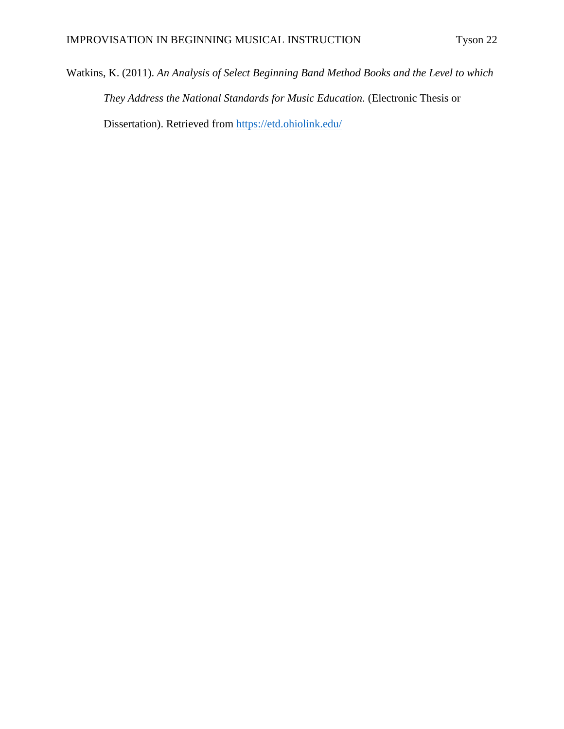Watkins, K. (2011). *An Analysis of Select Beginning Band Method Books and the Level to which They Address the National Standards for Music Education.* (Electronic Thesis or Dissertation). Retrieved from<https://etd.ohiolink.edu/>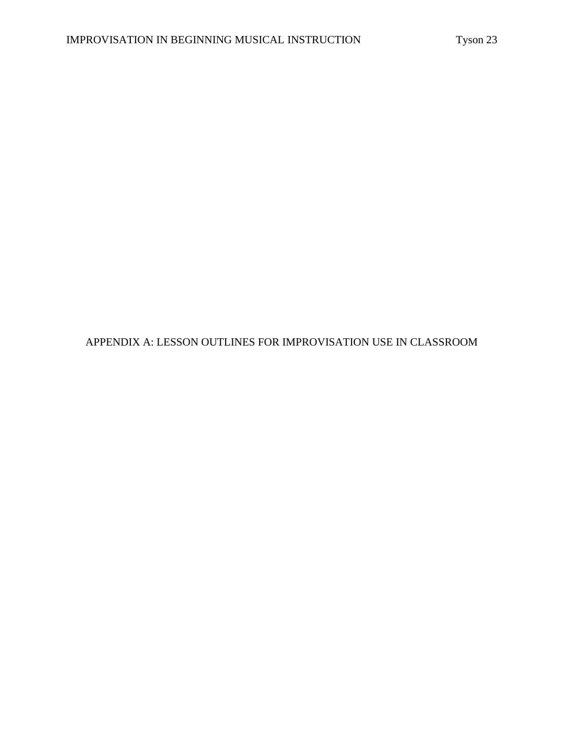APPENDIX A: LESSON OUTLINES FOR IMPROVISATION USE IN CLASSROOM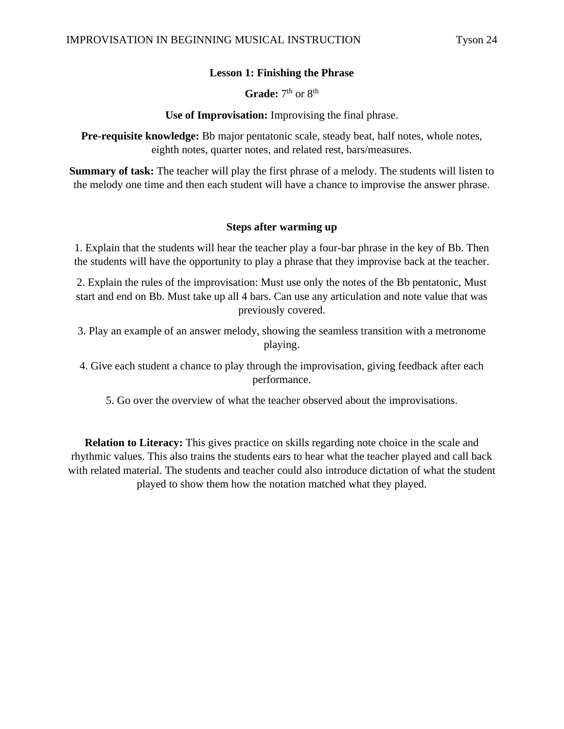## **Lesson 1: Finishing the Phrase**

Grade: 7<sup>th</sup> or 8<sup>th</sup>

**Use of Improvisation:** Improvising the final phrase.

**Pre-requisite knowledge:** Bb major pentatonic scale, steady beat, half notes, whole notes, eighth notes, quarter notes, and related rest, bars/measures.

**Summary of task:** The teacher will play the first phrase of a melody. The students will listen to the melody one time and then each student will have a chance to improvise the answer phrase.

## **Steps after warming up**

1. Explain that the students will hear the teacher play a four-bar phrase in the key of Bb. Then the students will have the opportunity to play a phrase that they improvise back at the teacher.

2. Explain the rules of the improvisation: Must use only the notes of the Bb pentatonic, Must start and end on Bb. Must take up all 4 bars. Can use any articulation and note value that was previously covered.

3. Play an example of an answer melody, showing the seamless transition with a metronome playing.

4. Give each student a chance to play through the improvisation, giving feedback after each performance.

5. Go over the overview of what the teacher observed about the improvisations.

**Relation to Literacy:** This gives practice on skills regarding note choice in the scale and rhythmic values. This also trains the students ears to hear what the teacher played and call back with related material. The students and teacher could also introduce dictation of what the student played to show them how the notation matched what they played.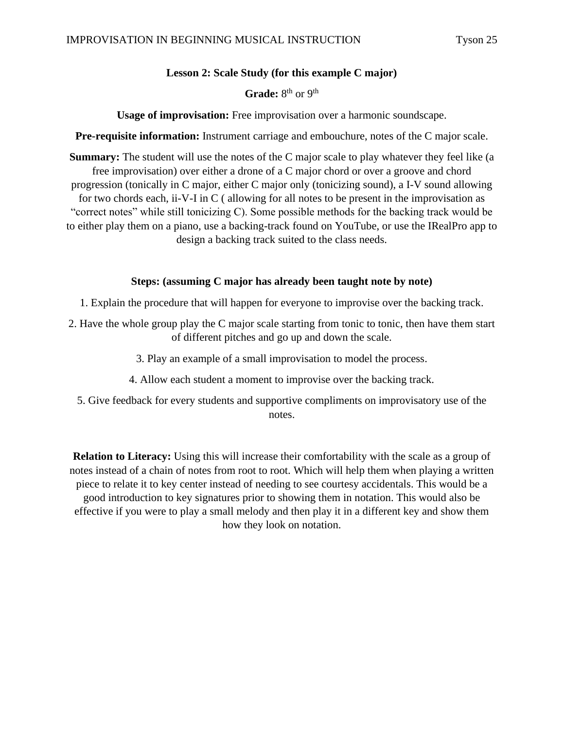## **Lesson 2: Scale Study (for this example C major)**

## Grade: 8<sup>th</sup> or 9<sup>th</sup>

**Usage of improvisation:** Free improvisation over a harmonic soundscape.

**Pre-requisite information:** Instrument carriage and embouchure, notes of the C major scale.

**Summary:** The student will use the notes of the C major scale to play whatever they feel like (a free improvisation) over either a drone of a C major chord or over a groove and chord progression (tonically in C major, either C major only (tonicizing sound), a I-V sound allowing for two chords each, ii-V-I in C ( allowing for all notes to be present in the improvisation as "correct notes" while still tonicizing C). Some possible methods for the backing track would be to either play them on a piano, use a backing-track found on YouTube, or use the IRealPro app to design a backing track suited to the class needs.

## **Steps: (assuming C major has already been taught note by note)**

- 1. Explain the procedure that will happen for everyone to improvise over the backing track.
- 2. Have the whole group play the C major scale starting from tonic to tonic, then have them start of different pitches and go up and down the scale.
	- 3. Play an example of a small improvisation to model the process.
	- 4. Allow each student a moment to improvise over the backing track.
	- 5. Give feedback for every students and supportive compliments on improvisatory use of the notes.

**Relation to Literacy:** Using this will increase their comfortability with the scale as a group of notes instead of a chain of notes from root to root. Which will help them when playing a written piece to relate it to key center instead of needing to see courtesy accidentals. This would be a good introduction to key signatures prior to showing them in notation. This would also be effective if you were to play a small melody and then play it in a different key and show them how they look on notation.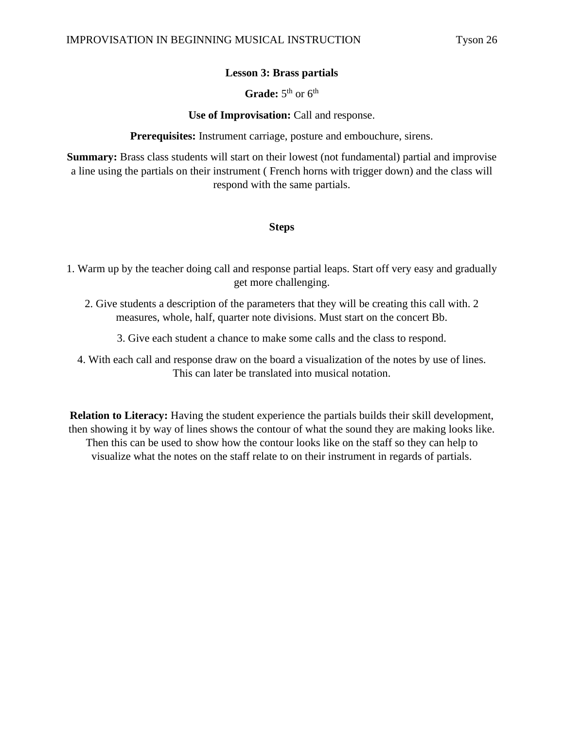## **Lesson 3: Brass partials**

## Grade: 5<sup>th</sup> or 6<sup>th</sup>

**Use of Improvisation:** Call and response.

**Prerequisites:** Instrument carriage, posture and embouchure, sirens.

**Summary:** Brass class students will start on their lowest (not fundamental) partial and improvise a line using the partials on their instrument ( French horns with trigger down) and the class will respond with the same partials.

## **Steps**

- 1. Warm up by the teacher doing call and response partial leaps. Start off very easy and gradually get more challenging.
	- 2. Give students a description of the parameters that they will be creating this call with. 2 measures, whole, half, quarter note divisions. Must start on the concert Bb.
		- 3. Give each student a chance to make some calls and the class to respond.
	- 4. With each call and response draw on the board a visualization of the notes by use of lines. This can later be translated into musical notation.

**Relation to Literacy:** Having the student experience the partials builds their skill development, then showing it by way of lines shows the contour of what the sound they are making looks like. Then this can be used to show how the contour looks like on the staff so they can help to visualize what the notes on the staff relate to on their instrument in regards of partials.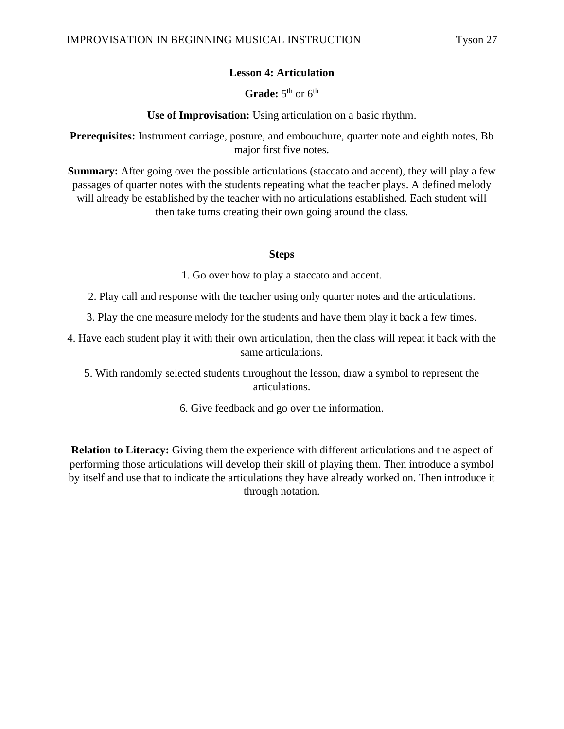## **Lesson 4: Articulation**

## Grade: 5<sup>th</sup> or 6<sup>th</sup>

**Use of Improvisation:** Using articulation on a basic rhythm.

**Prerequisites:** Instrument carriage, posture, and embouchure, quarter note and eighth notes, Bb major first five notes.

**Summary:** After going over the possible articulations (staccato and accent), they will play a few passages of quarter notes with the students repeating what the teacher plays. A defined melody will already be established by the teacher with no articulations established. Each student will then take turns creating their own going around the class.

## **Steps**

1. Go over how to play a staccato and accent.

- 2. Play call and response with the teacher using only quarter notes and the articulations.
- 3. Play the one measure melody for the students and have them play it back a few times.

4. Have each student play it with their own articulation, then the class will repeat it back with the same articulations.

5. With randomly selected students throughout the lesson, draw a symbol to represent the articulations.

6. Give feedback and go over the information.

**Relation to Literacy:** Giving them the experience with different articulations and the aspect of performing those articulations will develop their skill of playing them. Then introduce a symbol by itself and use that to indicate the articulations they have already worked on. Then introduce it through notation.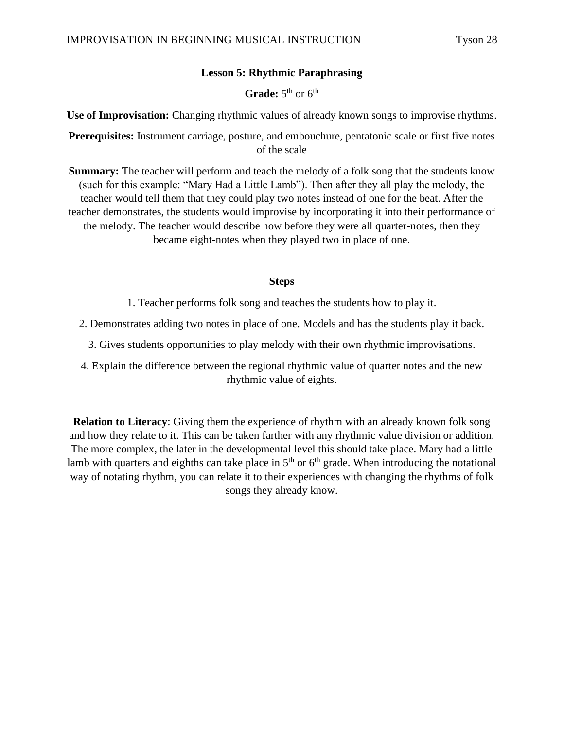## **Lesson 5: Rhythmic Paraphrasing**

## Grade: 5<sup>th</sup> or 6<sup>th</sup>

**Use of Improvisation:** Changing rhythmic values of already known songs to improvise rhythms.

**Prerequisites:** Instrument carriage, posture, and embouchure, pentatonic scale or first five notes of the scale

**Summary:** The teacher will perform and teach the melody of a folk song that the students know (such for this example: "Mary Had a Little Lamb"). Then after they all play the melody, the teacher would tell them that they could play two notes instead of one for the beat. After the teacher demonstrates, the students would improvise by incorporating it into their performance of the melody. The teacher would describe how before they were all quarter-notes, then they became eight-notes when they played two in place of one.

## **Steps**

1. Teacher performs folk song and teaches the students how to play it.

2. Demonstrates adding two notes in place of one. Models and has the students play it back.

3. Gives students opportunities to play melody with their own rhythmic improvisations.

4. Explain the difference between the regional rhythmic value of quarter notes and the new rhythmic value of eights.

**Relation to Literacy**: Giving them the experience of rhythm with an already known folk song and how they relate to it. This can be taken farther with any rhythmic value division or addition. The more complex, the later in the developmental level this should take place. Mary had a little lamb with quarters and eighths can take place in  $5<sup>th</sup>$  or  $6<sup>th</sup>$  grade. When introducing the notational way of notating rhythm, you can relate it to their experiences with changing the rhythms of folk songs they already know.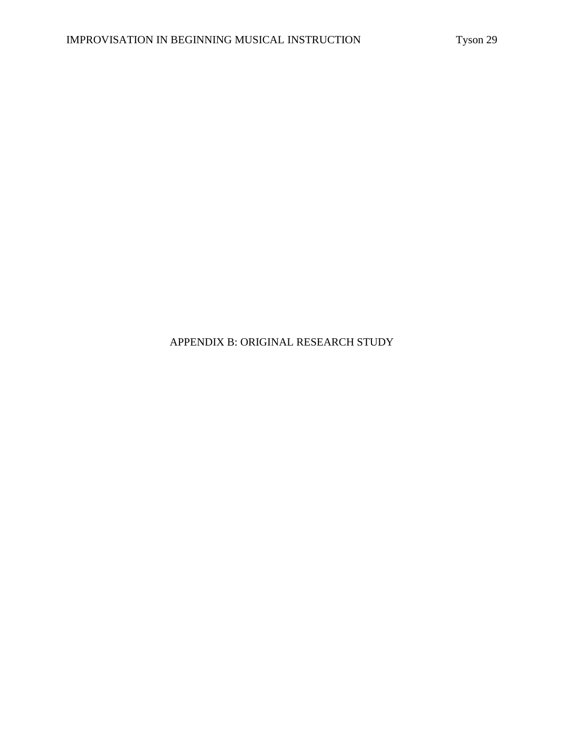## APPENDIX B: ORIGINAL RESEARCH STUDY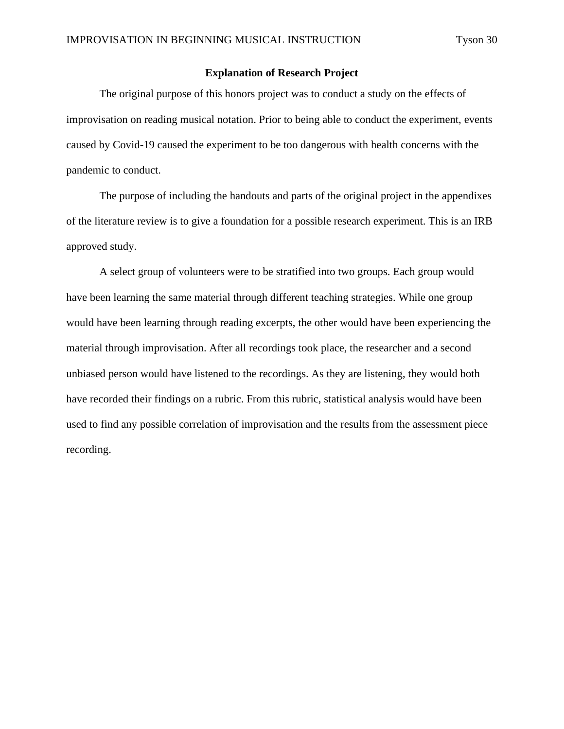## **Explanation of Research Project**

The original purpose of this honors project was to conduct a study on the effects of improvisation on reading musical notation. Prior to being able to conduct the experiment, events caused by Covid-19 caused the experiment to be too dangerous with health concerns with the pandemic to conduct.

The purpose of including the handouts and parts of the original project in the appendixes of the literature review is to give a foundation for a possible research experiment. This is an IRB approved study.

A select group of volunteers were to be stratified into two groups. Each group would have been learning the same material through different teaching strategies. While one group would have been learning through reading excerpts, the other would have been experiencing the material through improvisation. After all recordings took place, the researcher and a second unbiased person would have listened to the recordings. As they are listening, they would both have recorded their findings on a rubric. From this rubric, statistical analysis would have been used to find any possible correlation of improvisation and the results from the assessment piece recording.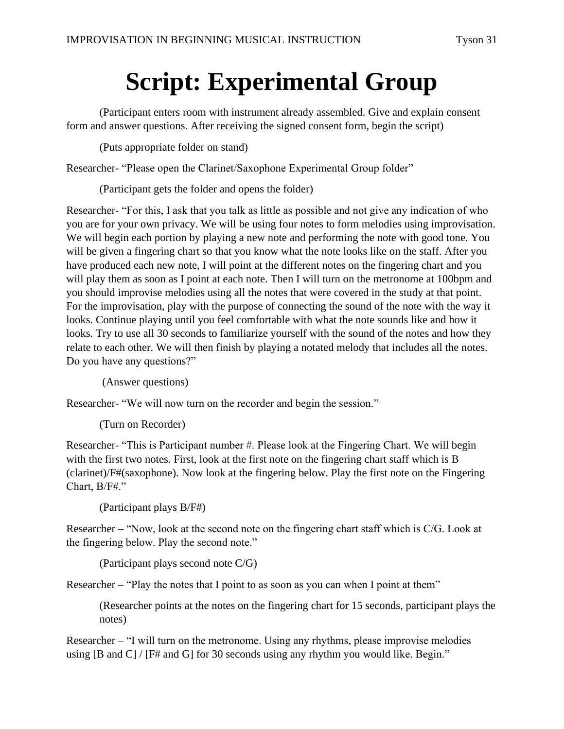# **Script: Experimental Group**

(Participant enters room with instrument already assembled. Give and explain consent form and answer questions. After receiving the signed consent form, begin the script)

(Puts appropriate folder on stand)

Researcher- "Please open the Clarinet/Saxophone Experimental Group folder"

(Participant gets the folder and opens the folder)

Researcher- "For this, I ask that you talk as little as possible and not give any indication of who you are for your own privacy. We will be using four notes to form melodies using improvisation. We will begin each portion by playing a new note and performing the note with good tone. You will be given a fingering chart so that you know what the note looks like on the staff. After you have produced each new note, I will point at the different notes on the fingering chart and you will play them as soon as I point at each note. Then I will turn on the metronome at 100 bpm and you should improvise melodies using all the notes that were covered in the study at that point. For the improvisation, play with the purpose of connecting the sound of the note with the way it looks. Continue playing until you feel comfortable with what the note sounds like and how it looks. Try to use all 30 seconds to familiarize yourself with the sound of the notes and how they relate to each other. We will then finish by playing a notated melody that includes all the notes. Do you have any questions?"

(Answer questions)

Researcher- "We will now turn on the recorder and begin the session."

(Turn on Recorder)

Researcher- "This is Participant number #. Please look at the Fingering Chart. We will begin with the first two notes. First, look at the first note on the fingering chart staff which is B (clarinet)/F#(saxophone). Now look at the fingering below. Play the first note on the Fingering Chart, B/F#."

(Participant plays B/F#)

Researcher – "Now, look at the second note on the fingering chart staff which is C/G. Look at the fingering below. Play the second note."

(Participant plays second note C/G)

Researcher – "Play the notes that I point to as soon as you can when I point at them"

(Researcher points at the notes on the fingering chart for 15 seconds, participant plays the notes)

Researcher – "I will turn on the metronome. Using any rhythms, please improvise melodies using [B and C] / [F# and G] for 30 seconds using any rhythm you would like. Begin."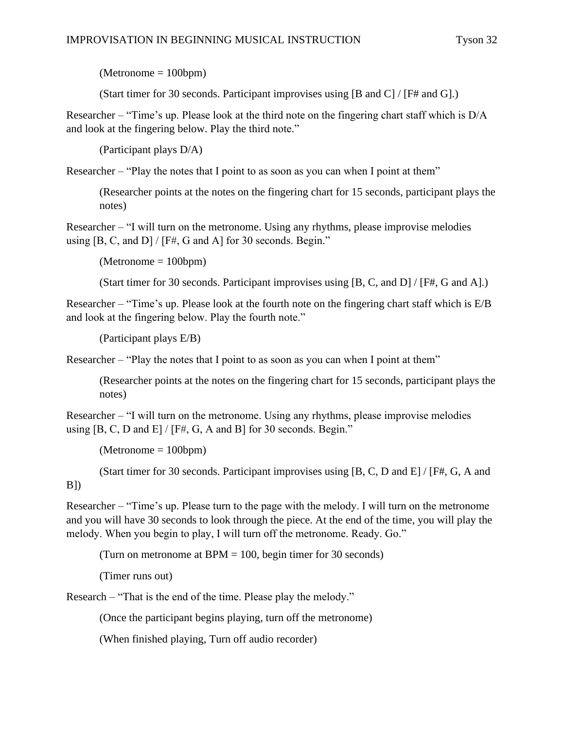$(Metronome = 100bpm)$ 

(Start timer for 30 seconds. Participant improvises using [B and C] / [F# and G].)

Researcher – "Time's up. Please look at the third note on the fingering chart staff which is D/A and look at the fingering below. Play the third note."

(Participant plays D/A)

Researcher – "Play the notes that I point to as soon as you can when I point at them"

(Researcher points at the notes on the fingering chart for 15 seconds, participant plays the notes)

Researcher – "I will turn on the metronome. Using any rhythms, please improvise melodies using  $[B, C, and D] / [F#, G and A]$  for 30 seconds. Begin."

 $(Metronome = 100bpm)$ 

(Start timer for 30 seconds. Participant improvises using [B, C, and D] / [F#, G and A].)

Researcher – "Time's up. Please look at the fourth note on the fingering chart staff which is E/B and look at the fingering below. Play the fourth note."

(Participant plays E/B)

Researcher – "Play the notes that I point to as soon as you can when I point at them"

(Researcher points at the notes on the fingering chart for 15 seconds, participant plays the notes)

Researcher – "I will turn on the metronome. Using any rhythms, please improvise melodies using [B, C, D and E] / [F#, G, A and B] for 30 seconds. Begin."

(Metronome = 100bpm)

(Start timer for 30 seconds. Participant improvises using [B, C, D and E] / [F#, G, A and B])

Researcher – "Time's up. Please turn to the page with the melody. I will turn on the metronome and you will have 30 seconds to look through the piece. At the end of the time, you will play the melody. When you begin to play, I will turn off the metronome. Ready. Go."

(Turn on metronome at  $BPM = 100$ , begin timer for 30 seconds)

(Timer runs out)

Research – "That is the end of the time. Please play the melody."

(Once the participant begins playing, turn off the metronome)

(When finished playing, Turn off audio recorder)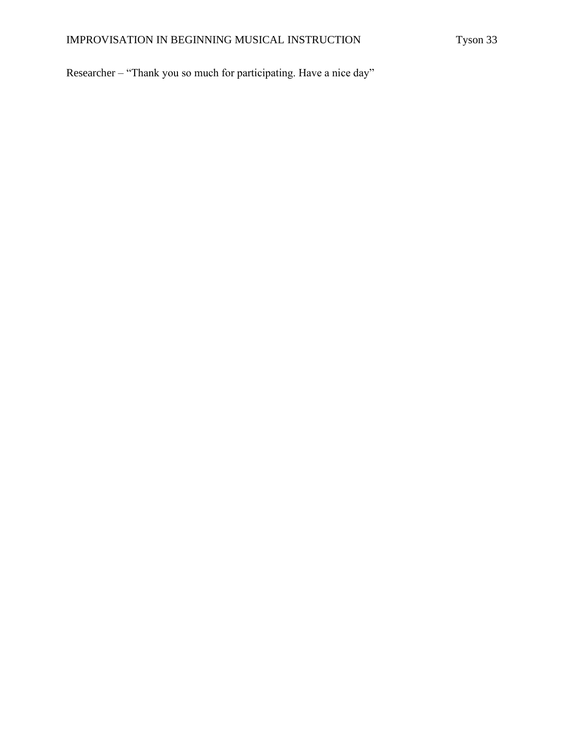Researcher – "Thank you so much for participating. Have a nice day"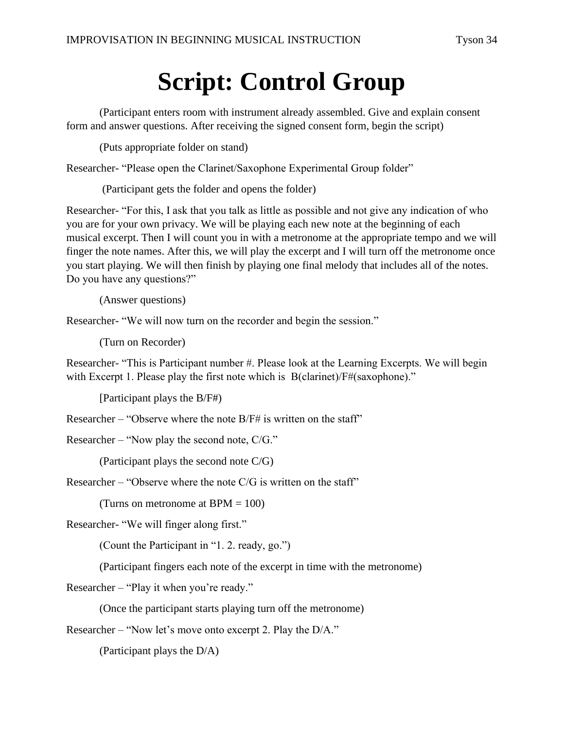# **Script: Control Group**

(Participant enters room with instrument already assembled. Give and explain consent form and answer questions. After receiving the signed consent form, begin the script)

(Puts appropriate folder on stand)

Researcher- "Please open the Clarinet/Saxophone Experimental Group folder"

(Participant gets the folder and opens the folder)

Researcher- "For this, I ask that you talk as little as possible and not give any indication of who you are for your own privacy. We will be playing each new note at the beginning of each musical excerpt. Then I will count you in with a metronome at the appropriate tempo and we will finger the note names. After this, we will play the excerpt and I will turn off the metronome once you start playing. We will then finish by playing one final melody that includes all of the notes. Do you have any questions?"

(Answer questions)

Researcher- "We will now turn on the recorder and begin the session."

(Turn on Recorder)

Researcher- "This is Participant number #. Please look at the Learning Excerpts. We will begin with Excerpt 1. Please play the first note which is B(clarinet)/F#(saxophone)."

[Participant plays the B/F#)

Researcher – "Observe where the note B/F# is written on the staff"

Researcher – "Now play the second note, C/G."

(Participant plays the second note C/G)

Researcher – "Observe where the note  $C/G$  is written on the staff"

(Turns on metronome at  $BPM = 100$ )

Researcher- "We will finger along first."

(Count the Participant in "1. 2. ready, go.")

(Participant fingers each note of the excerpt in time with the metronome)

Researcher – "Play it when you're ready."

(Once the participant starts playing turn off the metronome)

Researcher – "Now let's move onto excerpt 2. Play the D/A."

(Participant plays the D/A)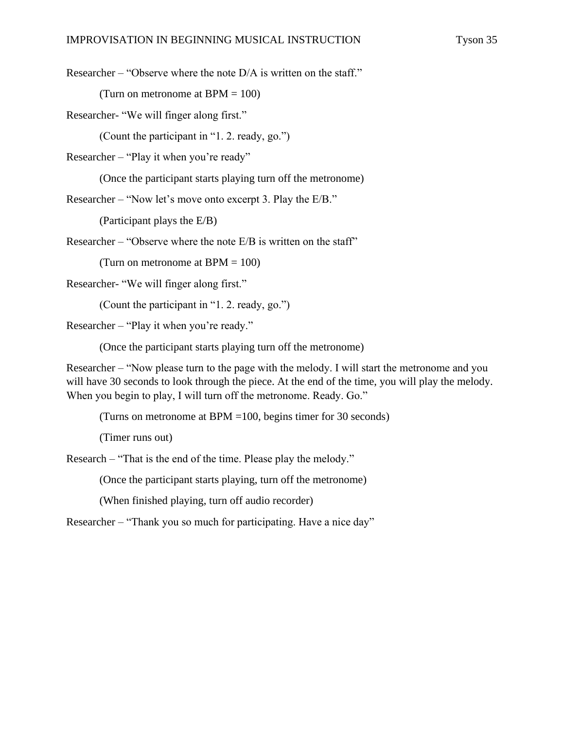Researcher – "Observe where the note D/A is written on the staff."

(Turn on metronome at  $BPM = 100$ )

Researcher- "We will finger along first."

(Count the participant in "1. 2. ready, go.")

Researcher – "Play it when you're ready"

(Once the participant starts playing turn off the metronome)

Researcher – "Now let's move onto excerpt 3. Play the E/B."

(Participant plays the E/B)

Researcher – "Observe where the note E/B is written on the staff"

(Turn on metronome at  $BPM = 100$ )

Researcher- "We will finger along first."

(Count the participant in "1. 2. ready, go.")

Researcher – "Play it when you're ready."

(Once the participant starts playing turn off the metronome)

Researcher – "Now please turn to the page with the melody. I will start the metronome and you will have 30 seconds to look through the piece. At the end of the time, you will play the melody. When you begin to play, I will turn off the metronome. Ready. Go."

(Turns on metronome at BPM =100, begins timer for 30 seconds)

(Timer runs out)

Research – "That is the end of the time. Please play the melody."

(Once the participant starts playing, turn off the metronome)

(When finished playing, turn off audio recorder)

Researcher – "Thank you so much for participating. Have a nice day"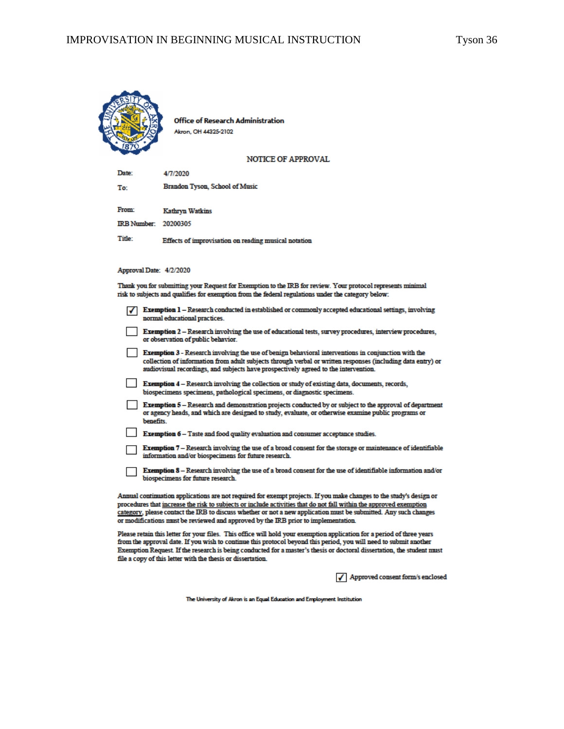

Office of Research Administration Akron, OH 44325-2102

**NOTICE OF APPROVAL** 

Date: 4/7/2020 Brandon Tyson, School of Music To: From: **Kathryn Watkins** IRB Number: 20200305 Title: Effects of improvisation on reading musical notation

#### Approval Date: 4/2/2020

Thank you for submitting your Request for Exemption to the IRB for review. Your protocol represents minimal risk to subjects and qualifies for exemption from the federal regulations under the category below:

- $\sqrt{\phantom{a}}$  Exemption 1 Research conducted in established or commonly accepted educational settings, involving normal educational practices.
- Exemption 2 Research involving the use of educational tests, survey procedures, interview procedures, or observation of public behavior.

Exemption 3 - Research involving the use of benign behavioral interventions in conjunction with the collection of information from adult subjects through verbal or written responses (including data entry) or audiovisual recordings, and subjects have prospectively agreed to the intervention.

Exemption 4 - Research involving the collection or study of existing data, documents, records, biospecimens specimens, pathological specimens, or diagnostic specimens.

Exemption 5 - Research and demonstration projects conducted by or subject to the approval of department or agency heads, and which are designed to study, evaluate, or otherwise examine public programs or benefits.

- Exemption 6 Taste and food quality evaluation and consumer acceptance studies.
- Exemption 7 Research involving the use of a broad consent for the storage or maintenance of identifiable information and/or biospecimens for future research.
- Exemption 8 Research involving the use of a broad consent for the use of identifiable information and/or biospecimens for future research.

Annual continuation applications are not required for exempt projects. If you make changes to the study's design or procedures that increase the risk to subjects or include activities that do not fall within the approved exemption category, please contact the IRB to discuss whether or not a new application must be submitted. Any such changes or modifications must be reviewed and approved by the IRB prior to implementation.

Please retain this letter for your files. This office will hold your exemption application for a period of three years from the approval date. If you wish to continue this protocol beyond this period, you will need to submit another Exemption Request. If the research is being conducted for a master's thesis or doctoral dissertation, the student must file a copy of this letter with the thesis or dissertation.

√ Approved consent form/s enclosed

The University of Akron is an Equal Education and Employment Institution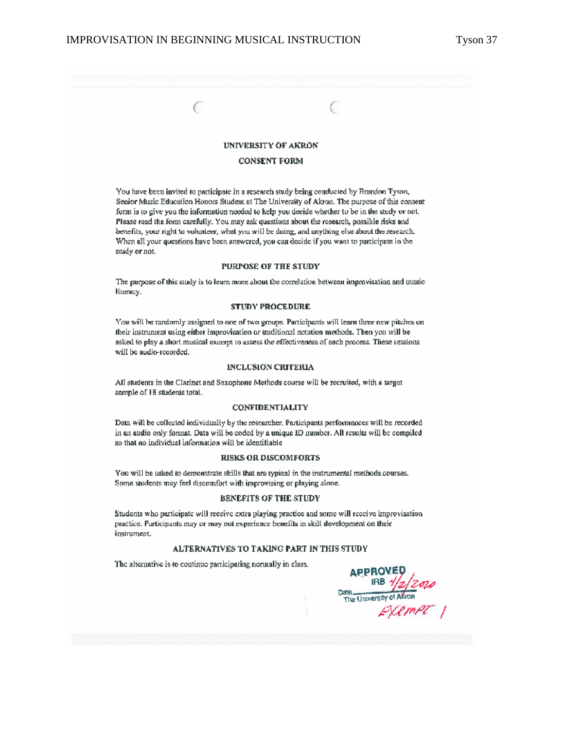C

C

#### **UNIVERSITY OF AKRON**

#### **CONSENT FORM**

You have been invited to participate in a research study being conducted by Brandon Tyson, Seaior Music Education Honors Student at The University of Akron. The purpose of this consent form is to give you the information needed to help you decide whether to be in the study or not. Please read the form carefully. You may ask questions about the research, possible risks and benefits, your right to volunteer, what you will be doing, and anything else about the research. When all your questions have been answered, you can decide if you want to participate in the study or not.

#### **PURPOSE OF THE STUDY**

The purpose of this study is to learn more about the correlation between improvisation and musicliteracy.

#### **STUDY PROCEDURE**

You will be randomly assigned to one of two groups. Participants will learn three new pitches on their instrument using either improvisation or traditional notation methods. Then you will be asked to play a short musical excerpt to assess the effectiveness of each process. These sessions will be audio-recorded.

#### INCLUSION CRITERIA

All students in the Clarinet and Saxophone Methods course will be recruited, with a target sample of 18 students total.

#### **CONFIDENTIALITY**

Data will be collected individually by the researcher. Participants performances will be recorded in an audio only format. Data will be coded by a unique ID number. All results will be compiled so that no individual information will be identifiable.

#### **RISKS OR DISCOMFORTS**

You will be asked to demonstrate skills that are typical in the instrumental methods courses. Some students may feel discomfort with improvising or playing alone.

#### BENEFITS OF THE STUDY

Students who participate will receive extra playing practice and some will receive improvisation practice. Participants may or may not experience benefits in skill development on their instrument,

#### ALTERNATIVES TO TAKING PART IN THIS STUDY

The alternative is to continue participating normally in class.

**APPROVE** Date University of Akion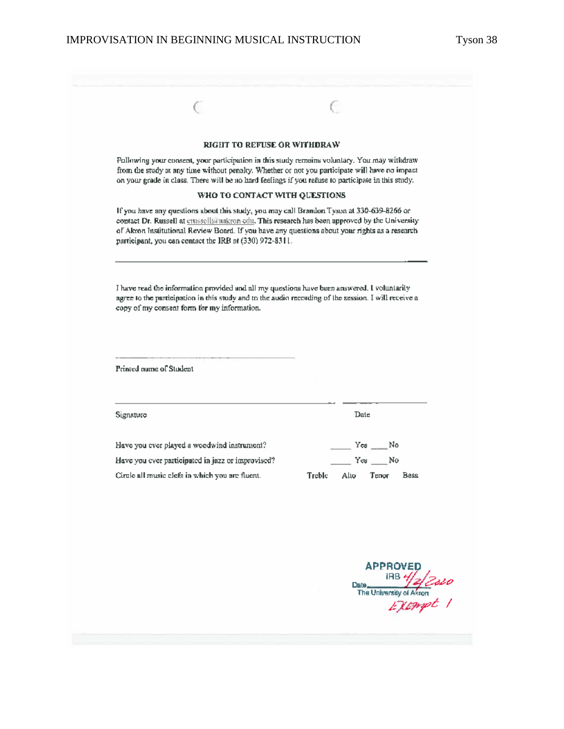| <b>RIGHT TO REFUSE OR WITHDRAW</b><br>Pollowing your consent, your participation in this study remains voluntary. You may withdraw<br>from the study at any time without penalty. Whether or not you participate will have no impact |                                                                                                                                                                                                                                                                                                                                                                                                                                                                                                             |
|--------------------------------------------------------------------------------------------------------------------------------------------------------------------------------------------------------------------------------------|-------------------------------------------------------------------------------------------------------------------------------------------------------------------------------------------------------------------------------------------------------------------------------------------------------------------------------------------------------------------------------------------------------------------------------------------------------------------------------------------------------------|
|                                                                                                                                                                                                                                      |                                                                                                                                                                                                                                                                                                                                                                                                                                                                                                             |
|                                                                                                                                                                                                                                      | on your grade in class. There will be no hard feelings if you refuse to participate in this study.                                                                                                                                                                                                                                                                                                                                                                                                          |
| WHO TO CONTACT WITH QUESTIONS                                                                                                                                                                                                        |                                                                                                                                                                                                                                                                                                                                                                                                                                                                                                             |
|                                                                                                                                                                                                                                      |                                                                                                                                                                                                                                                                                                                                                                                                                                                                                                             |
|                                                                                                                                                                                                                                      |                                                                                                                                                                                                                                                                                                                                                                                                                                                                                                             |
|                                                                                                                                                                                                                                      |                                                                                                                                                                                                                                                                                                                                                                                                                                                                                                             |
|                                                                                                                                                                                                                                      |                                                                                                                                                                                                                                                                                                                                                                                                                                                                                                             |
|                                                                                                                                                                                                                                      | Yes No                                                                                                                                                                                                                                                                                                                                                                                                                                                                                                      |
|                                                                                                                                                                                                                                      | Yes No                                                                                                                                                                                                                                                                                                                                                                                                                                                                                                      |
| Treble<br>Alto                                                                                                                                                                                                                       | Bass<br>Тепит                                                                                                                                                                                                                                                                                                                                                                                                                                                                                               |
|                                                                                                                                                                                                                                      | <b>APPROVED</b>                                                                                                                                                                                                                                                                                                                                                                                                                                                                                             |
| participant, you can contact the IRB at (330) 972-8311.                                                                                                                                                                              | If you have any questions about this study, you may call Brandon Tyson at 330-639-8266 or<br>contact Dr. Russell at guassell@nakron edn. This research has been approved by the University<br>of Akron Institutional Review Board. If you have any questions about your rights as a research<br>I have read the information provided and all my questions have been answered. I voluntarily<br>agree to the participation in this study and to the audio recording of the session. I will receive a<br>Date |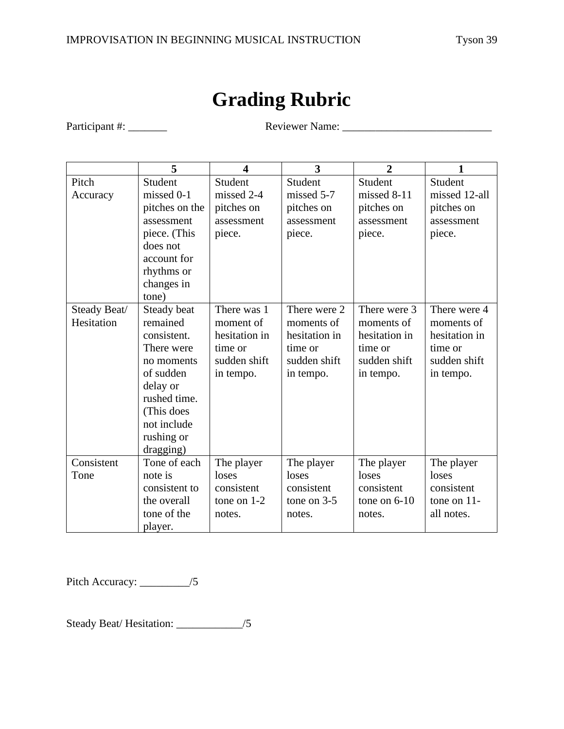## **Grading Rubric**

Participant #: \_\_\_\_\_\_\_ Reviewer Name: \_\_\_\_\_\_\_\_\_\_\_\_\_\_\_\_\_\_\_\_\_\_\_\_\_\_\_

|              | 5              | $\overline{\mathbf{4}}$ | 3             | $\overline{2}$ | 1              |
|--------------|----------------|-------------------------|---------------|----------------|----------------|
| Pitch        | Student        | Student                 | Student       | Student        | Student        |
| Accuracy     | missed 0-1     | missed 2-4              | missed 5-7    | missed 8-11    | missed 12-all  |
|              | pitches on the | pitches on              | pitches on    | pitches on     | pitches on     |
|              | assessment     | assessment              | assessment    | assessment     | assessment     |
|              | piece. (This   | piece.                  | piece.        | piece.         | piece.         |
|              | does not       |                         |               |                |                |
|              | account for    |                         |               |                |                |
|              | rhythms or     |                         |               |                |                |
|              | changes in     |                         |               |                |                |
|              | tone)          |                         |               |                |                |
| Steady Beat/ | Steady beat    | There was 1             | There were 2  | There were 3   | There were 4   |
| Hesitation   | remained       | moment of               | moments of    | moments of     | moments of     |
|              | consistent.    | hesitation in           | hesitation in | hesitation in  | hesitation in  |
|              | There were     | time or                 | time or       | time or        | time or        |
|              | no moments     | sudden shift            | sudden shift  | sudden shift   | sudden shift   |
|              | of sudden      | in tempo.               | in tempo.     | in tempo.      | in tempo.      |
|              | delay or       |                         |               |                |                |
|              | rushed time.   |                         |               |                |                |
|              | (This does     |                         |               |                |                |
|              | not include    |                         |               |                |                |
|              | rushing or     |                         |               |                |                |
|              | dragging)      |                         |               |                |                |
| Consistent   | Tone of each   | The player              | The player    | The player     | The player     |
| Tone         | note is        | loses                   | loses         | loses          | loses          |
|              | consistent to  | consistent              | consistent    | consistent     | consistent     |
|              | the overall    | tone on $1-2$           | tone on $3-5$ | tone on $6-10$ | tone on $11$ - |
|              | tone of the    | notes.                  | notes.        | notes.         | all notes.     |
|              | player.        |                         |               |                |                |

Pitch Accuracy: \_\_\_\_\_\_\_\_\_/5

Steady Beat/ Hesitation: \_\_\_\_\_\_\_\_\_\_\_\_/5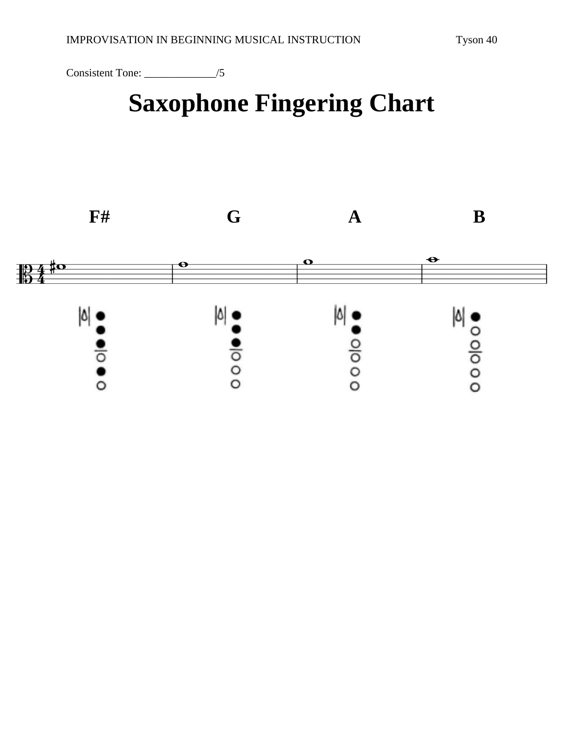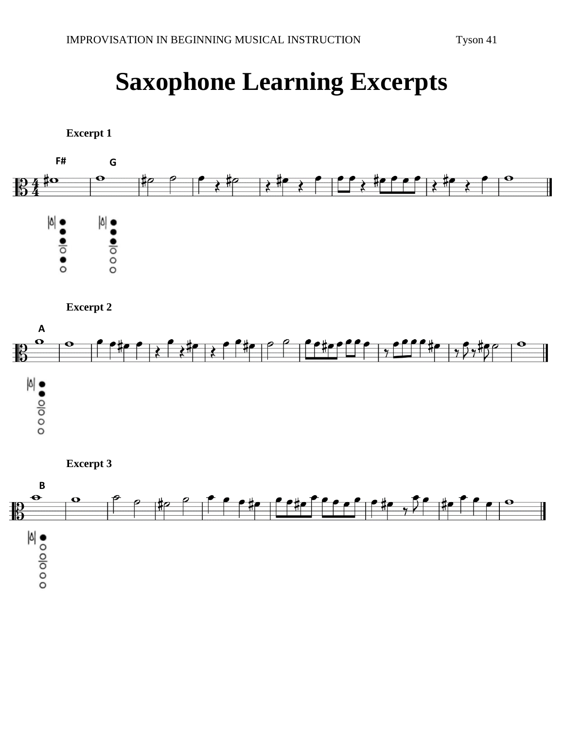# **Saxophone Learning Excerpts**



**Excerpt 2**



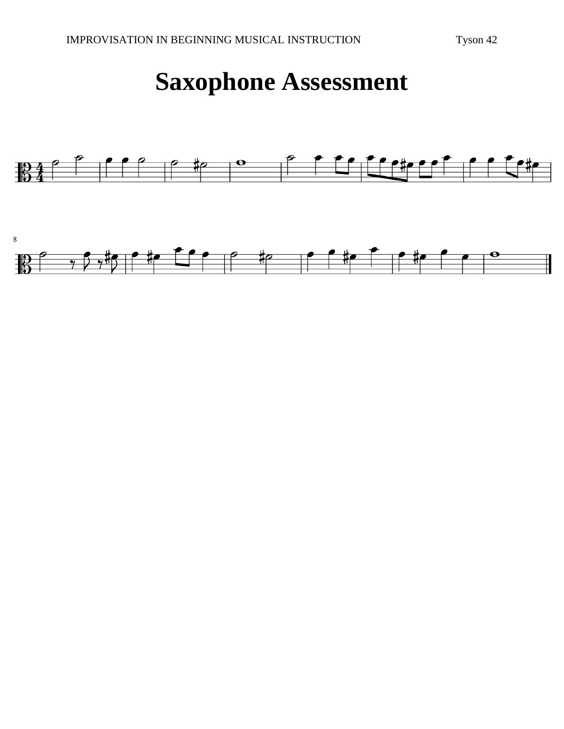## **Saxophone Assessment**

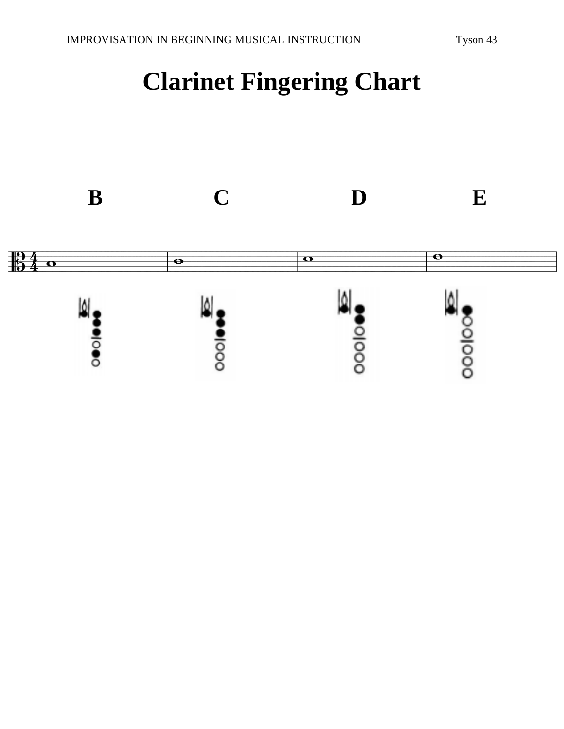# **Clarinet Fingering Chart**

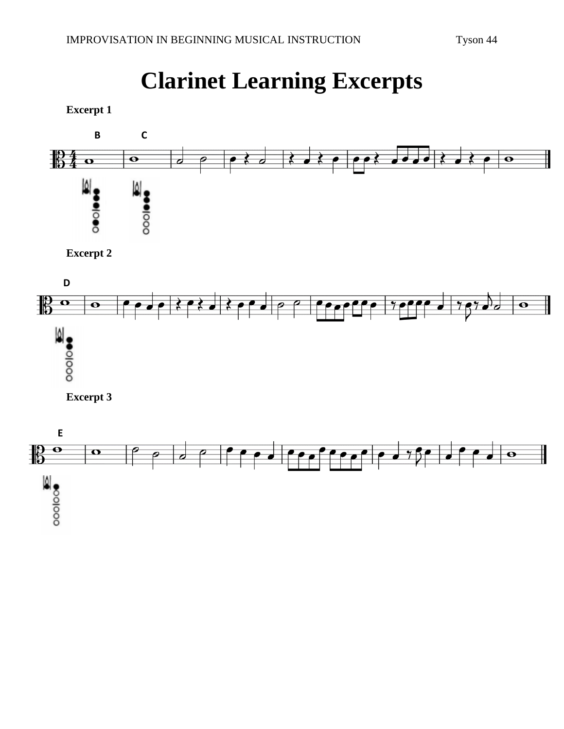# **Clarinet Learning Excerpts**

**Excerpt 1**



**Excerpt 2**